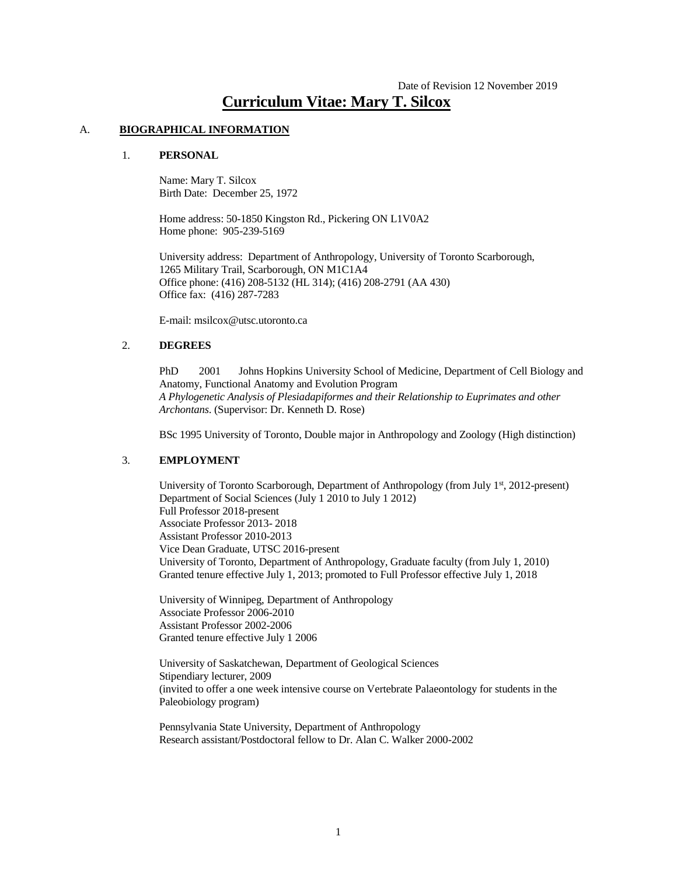# Date of Revision 12 November 2019 **Curriculum Vitae: Mary T. Silcox**

#### A. **BIOGRAPHICAL INFORMATION**

#### 1. **PERSONAL**

Name: Mary T. Silcox Birth Date: December 25, 1972

Home address: 50-1850 Kingston Rd., Pickering ON L1V0A2 Home phone: 905-239-5169

University address: Department of Anthropology, University of Toronto Scarborough, 1265 Military Trail, Scarborough, ON M1C1A4 Office phone: (416) 208-5132 (HL 314); (416) 208-2791 (AA 430) Office fax: (416) 287-7283

E-mail: msilcox@utsc.utoronto.ca

#### 2. **DEGREES**

PhD 2001 Johns Hopkins University School of Medicine, Department of Cell Biology and Anatomy, Functional Anatomy and Evolution Program *A Phylogenetic Analysis of Plesiadapiformes and their Relationship to Euprimates and other Archontans*. (Supervisor: Dr. Kenneth D. Rose)

BSc 1995 University of Toronto, Double major in Anthropology and Zoology (High distinction)

#### 3. **EMPLOYMENT**

University of Toronto Scarborough, Department of Anthropology (from July 1<sup>st</sup>, 2012-present) Department of Social Sciences (July 1 2010 to July 1 2012) Full Professor 2018-present Associate Professor 2013- 2018 Assistant Professor 2010-2013 Vice Dean Graduate, UTSC 2016-present University of Toronto, Department of Anthropology, Graduate faculty (from July 1, 2010) Granted tenure effective July 1, 2013; promoted to Full Professor effective July 1, 2018

University of Winnipeg, Department of Anthropology Associate Professor 2006-2010 Assistant Professor 2002-2006 Granted tenure effective July 1 2006

University of Saskatchewan, Department of Geological Sciences Stipendiary lecturer, 2009 (invited to offer a one week intensive course on Vertebrate Palaeontology for students in the Paleobiology program)

Pennsylvania State University, Department of Anthropology Research assistant/Postdoctoral fellow to Dr. Alan C. Walker 2000-2002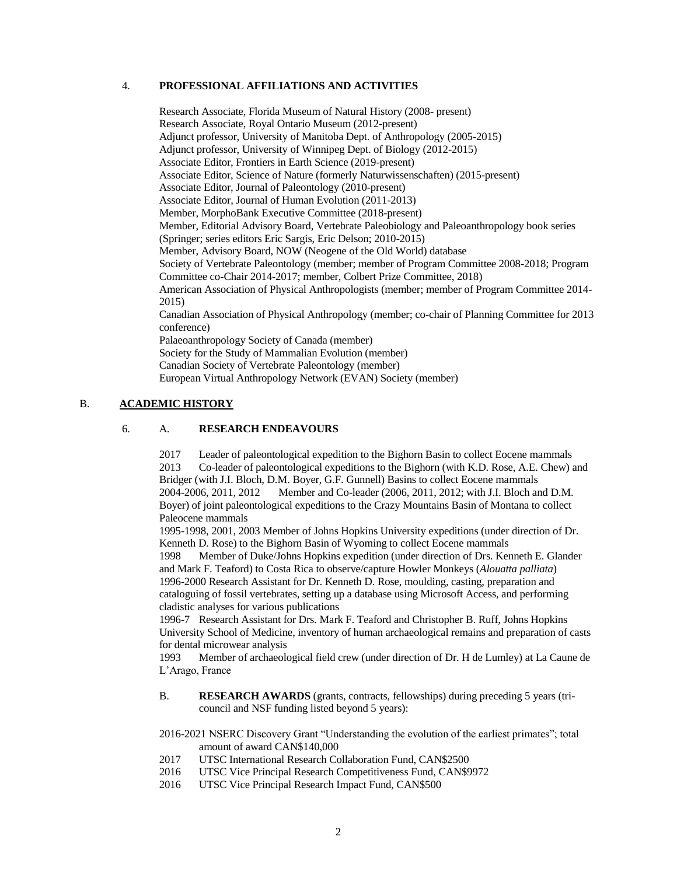### 4. **PROFESSIONAL AFFILIATIONS AND ACTIVITIES**

Research Associate, Florida Museum of Natural History (2008- present) Research Associate, Royal Ontario Museum (2012-present) Adjunct professor, University of Manitoba Dept. of Anthropology (2005-2015) Adjunct professor, University of Winnipeg Dept. of Biology (2012-2015) Associate Editor, Frontiers in Earth Science (2019-present) Associate Editor, Science of Nature (formerly Naturwissenschaften) (2015-present) Associate Editor, Journal of Paleontology (2010-present) Associate Editor, Journal of Human Evolution (2011-2013) Member, MorphoBank Executive Committee (2018-present) Member, Editorial Advisory Board, Vertebrate Paleobiology and Paleoanthropology book series (Springer; series editors Eric Sargis, Eric Delson; 2010-2015) Member, Advisory Board, NOW (Neogene of the Old World) database Society of Vertebrate Paleontology (member; member of Program Committee 2008-2018; Program Committee co-Chair 2014-2017; member, Colbert Prize Committee, 2018) American Association of Physical Anthropologists (member; member of Program Committee 2014- 2015) Canadian Association of Physical Anthropology (member; co-chair of Planning Committee for 2013 conference) Palaeoanthropology Society of Canada (member) Society for the Study of Mammalian Evolution (member) Canadian Society of Vertebrate Paleontology (member) European Virtual Anthropology Network (EVAN) Society (member)

## B. **ACADEMIC HISTORY**

#### 6. A. **RESEARCH ENDEAVOURS**

2017 Leader of paleontological expedition to the Bighorn Basin to collect Eocene mammals 2013 Co-leader of paleontological expeditions to the Bighorn (with K.D. Rose, A.E. Chew) and Bridger (with J.I. Bloch, D.M. Boyer, G.F. Gunnell) Basins to collect Eocene mammals 2004-2006, 2011, 2012 Member and Co-leader (2006, 2011, 2012; with J.I. Bloch and D.M. Boyer) of joint paleontological expeditions to the Crazy Mountains Basin of Montana to collect Paleocene mammals

1995-1998, 2001, 2003 Member of Johns Hopkins University expeditions (under direction of Dr. Kenneth D. Rose) to the Bighorn Basin of Wyoming to collect Eocene mammals

1998 Member of Duke/Johns Hopkins expedition (under direction of Drs. Kenneth E. Glander and Mark F. Teaford) to Costa Rica to observe/capture Howler Monkeys (*Alouatta palliata*) 1996-2000 Research Assistant for Dr. Kenneth D. Rose, moulding, casting, preparation and cataloguing of fossil vertebrates, setting up a database using Microsoft Access, and performing cladistic analyses for various publications

1996-7 Research Assistant for Drs. Mark F. Teaford and Christopher B. Ruff, Johns Hopkins University School of Medicine, inventory of human archaeological remains and preparation of casts for dental microwear analysis

1993 Member of archaeological field crew (under direction of Dr. H de Lumley) at La Caune de L'Arago, France

- B. **RESEARCH AWARDS** (grants, contracts, fellowships) during preceding 5 years (tricouncil and NSF funding listed beyond 5 years):
- 2016-2021 NSERC Discovery Grant "Understanding the evolution of the earliest primates"; total amount of award CAN\$140,000
- 2017 UTSC International Research Collaboration Fund, CAN\$2500
- 2016 UTSC Vice Principal Research Competitiveness Fund, CAN\$9972
- 2016 UTSC Vice Principal Research Impact Fund, CAN\$500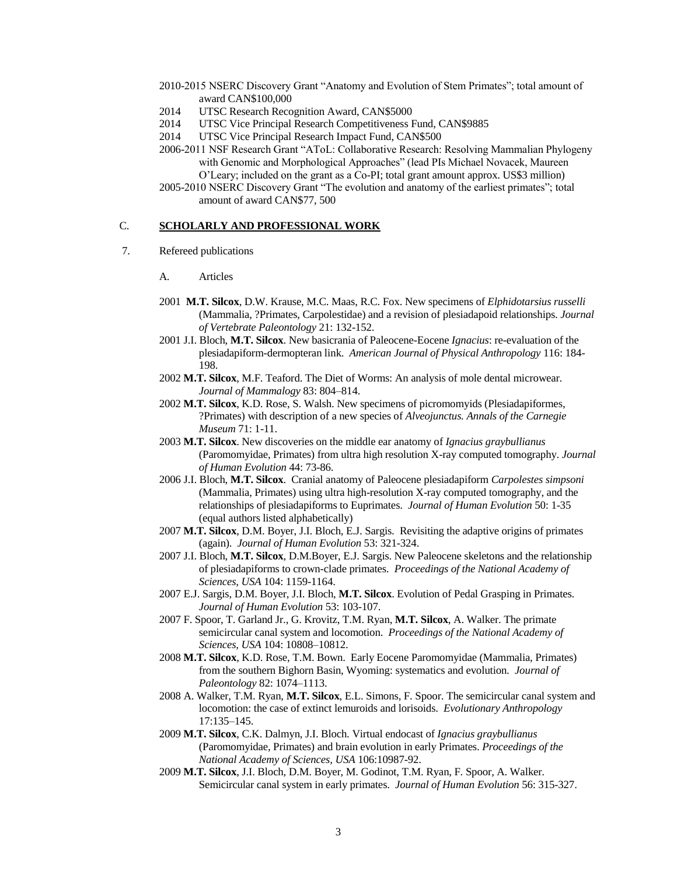- 2010-2015 NSERC Discovery Grant "Anatomy and Evolution of Stem Primates"; total amount of award CAN\$100,000
- 2014 UTSC Research Recognition Award, CAN\$5000
- 2014 UTSC Vice Principal Research Competitiveness Fund, CAN\$9885
- 2014 UTSC Vice Principal Research Impact Fund, CAN\$500
- 2006-2011 NSF Research Grant "AToL: Collaborative Research: Resolving Mammalian Phylogeny with Genomic and Morphological Approaches" (lead PIs Michael Novacek, Maureen O'Leary; included on the grant as a Co-PI; total grant amount approx. US\$3 million)
- 2005-2010 NSERC Discovery Grant "The evolution and anatomy of the earliest primates"; total amount of award CAN\$77, 500

#### C. **SCHOLARLY AND PROFESSIONAL WORK**

- 7. Refereed publications
	- A. Articles
	- 2001 **M.T. Silcox**, D.W. Krause, M.C. Maas, R.C. Fox. New specimens of *Elphidotarsius russelli* (Mammalia, ?Primates, Carpolestidae) and a revision of plesiadapoid relationships. *Journal of Vertebrate Paleontology* 21: 132-152.
	- 2001 J.I. Bloch, **M.T. Silcox**. New basicrania of Paleocene-Eocene *Ignacius*: re-evaluation of the plesiadapiform-dermopteran link. *American Journal of Physical Anthropology* 116: 184- 198.
	- 2002 **M.T. Silcox**, M.F. Teaford. The Diet of Worms: An analysis of mole dental microwear. *Journal of Mammalogy* 83: 804–814.
	- 2002 **M.T. Silcox**, K.D. Rose, S. Walsh. New specimens of picromomyids (Plesiadapiformes, ?Primates) with description of a new species of *Alveojunctus. Annals of the Carnegie Museum* 71: 1-11.
	- 2003 **M.T. Silcox**. New discoveries on the middle ear anatomy of *Ignacius graybullianus* (Paromomyidae, Primates) from ultra high resolution X-ray computed tomography. *Journal of Human Evolution* 44: 73-86.
	- 2006 J.I. Bloch, **M.T. Silcox**. Cranial anatomy of Paleocene plesiadapiform *Carpolestes simpsoni* (Mammalia, Primates) using ultra high-resolution X-ray computed tomography, and the relationships of plesiadapiforms to Euprimates. *Journal of Human Evolution* 50: 1-35 (equal authors listed alphabetically)
	- 2007 **M.T. Silcox**, D.M. Boyer, J.I. Bloch, E.J. Sargis. Revisiting the adaptive origins of primates (again). *Journal of Human Evolution* 53: 321-324.
	- 2007 J.I. Bloch, **M.T. Silcox**, D.M.Boyer, E.J. Sargis. New Paleocene skeletons and the relationship of plesiadapiforms to crown-clade primates. *Proceedings of the National Academy of Sciences, USA* 104: 1159-1164.
	- 2007 E.J. Sargis, D.M. Boyer, J.I. Bloch, **M.T. Silcox**. Evolution of Pedal Grasping in Primates. *Journal of Human Evolution* 53: 103-107.
	- 2007 F. Spoor, T. Garland Jr., G. Krovitz, T.M. Ryan, **M.T. Silcox**, A. Walker. The primate semicircular canal system and locomotion. *Proceedings of the National Academy of Sciences, USA* 104: 10808–10812.
	- 2008 **M.T. Silcox**, K.D. Rose, T.M. Bown. Early Eocene Paromomyidae (Mammalia, Primates) from the southern Bighorn Basin, Wyoming: systematics and evolution. *Journal of Paleontology* 82: 1074–1113.
	- 2008 A. Walker, T.M. Ryan, **M.T. Silcox**, E.L. Simons, F. Spoor. The semicircular canal system and locomotion: the case of extinct lemuroids and lorisoids. *Evolutionary Anthropology* 17:135–145.
	- 2009 **M.T. Silcox**, C.K. Dalmyn, J.I. Bloch. Virtual endocast of *Ignacius graybullianus* (Paromomyidae, Primates) and brain evolution in early Primates. *Proceedings of the National Academy of Sciences, USA* 106:10987-92.
	- 2009 **M.T. Silcox**, J.I. Bloch, D.M. Boyer, M. Godinot, T.M. Ryan, F. Spoor, A. Walker. Semicircular canal system in early primates. *Journal of Human Evolution* 56: 315-327.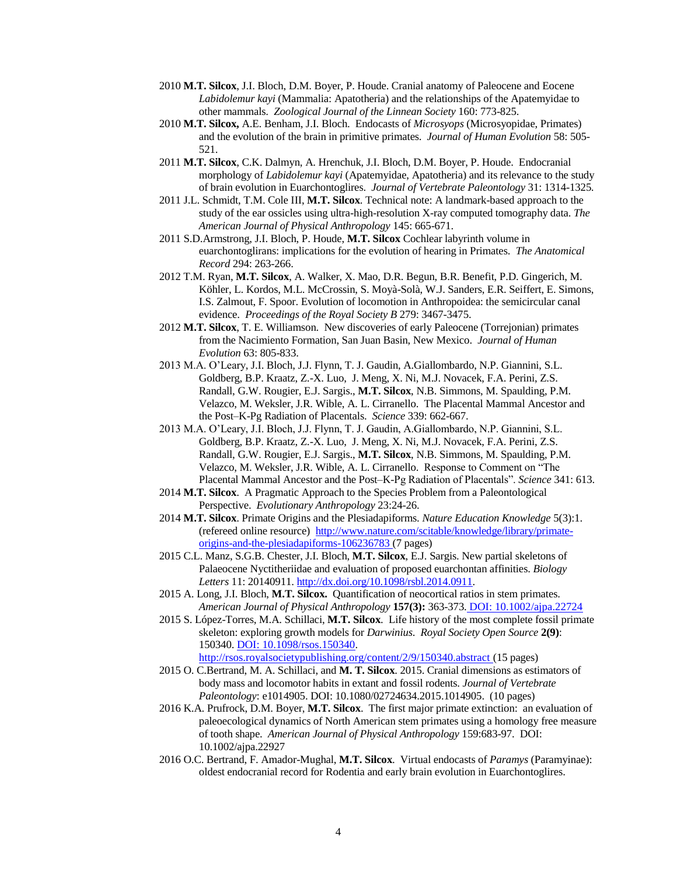- 2010 **M.T. Silcox**, J.I. Bloch, D.M. Boyer, P. Houde. Cranial anatomy of Paleocene and Eocene *Labidolemur kayi* (Mammalia: Apatotheria) and the relationships of the Apatemyidae to other mammals. *Zoological Journal of the Linnean Society* 160: 773-825.
- 2010 **M.T. Silcox,** A.E. Benham, J.I. Bloch. Endocasts of *Microsyops* (Microsyopidae, Primates) and the evolution of the brain in primitive primates. *Journal of Human Evolution* 58: 505- 521.
- 2011 **M.T. Silcox**, C.K. Dalmyn, A. Hrenchuk, J.I. Bloch, D.M. Boyer, P. Houde. Endocranial morphology of *Labidolemur kayi* (Apatemyidae, Apatotheria) and its relevance to the study of brain evolution in Euarchontoglires. *Journal of Vertebrate Paleontology* 31: 1314-1325*.*
- 2011 J.L. Schmidt, T.M. Cole III, **M.T. Silcox**. Technical note: A landmark-based approach to the study of the ear ossicles using ultra-high-resolution X-ray computed tomography data. *The American Journal of Physical Anthropology* 145: 665-671.
- 2011 S.D.Armstrong, J.I. Bloch, P. Houde, **M.T. Silcox** Cochlear labyrinth volume in euarchontoglirans: implications for the evolution of hearing in Primates. *The Anatomical Record* 294: 263-266.
- 2012 T.M. Ryan, **M.T. Silcox**, A. Walker, X. Mao, D.R. Begun, B.R. Benefit, P.D. Gingerich, M. Köhler, L. Kordos, M.L. McCrossin, S. Moyà-Solà, W.J. Sanders, E.R. Seiffert, E. Simons, I.S. Zalmout, F. Spoor. Evolution of locomotion in Anthropoidea: the semicircular canal evidence. *Proceedings of the Royal Society B* 279: 3467-3475.
- 2012 **M.T. Silcox**, T. E. Williamson. [New discoveries of early Paleocene \(Torrejonian\) primates](http://www.sciencedirect.com/science/article/pii/S0047248412001613)  [from the Nacimiento Formation, San Juan Basin, New Mexico.](http://www.sciencedirect.com/science/article/pii/S0047248412001613) *Journal of Human Evolution* 63: 805-833.
- 2013 M.A. O'Leary, J.I. Bloch, J.J. Flynn, T. J. Gaudin, A.Giallombardo, N.P. Giannini, S.L. Goldberg, B.P. Kraatz, Z.-X. Luo, J. Meng, X. Ni, M.J. Novacek, F.A. Perini, Z.S. Randall, G.W. Rougier, E.J. Sargis., **M.T. Silcox**, N.B. Simmons, M. Spaulding, P.M. Velazco, M. Weksler, J.R. Wible, A. L. Cirranello. The Placental Mammal Ancestor and the Post–K-Pg Radiation of Placentals. *Science* 339: 662-667.
- 2013 M.A. O'Leary, J.I. Bloch, J.J. Flynn, T. J. Gaudin, A.Giallombardo, N.P. Giannini, S.L. Goldberg, B.P. Kraatz, Z.-X. Luo, J. Meng, X. Ni, M.J. Novacek, F.A. Perini, Z.S. Randall, G.W. Rougier, E.J. Sargis., **M.T. Silcox**, N.B. Simmons, M. Spaulding, P.M. Velazco, M. Weksler, J.R. Wible, A. L. Cirranello. Response to Comment on "The Placental Mammal Ancestor and the Post–K-Pg Radiation of Placentals". *Science* 341: 613.
- 2014 **M.T. Silcox**. A Pragmatic Approach to the Species Problem from a Paleontological Perspective. *Evolutionary Anthropology* 23:24-26.
- 2014 **M.T. Silcox**. Primate Origins and the Plesiadapiforms. *Nature Education Knowledge* 5(3):1. (refereed online resource) [http://www.nature.com/scitable/knowledge/library/primate](http://www.nature.com/scitable/knowledge/library/primate-origins-and-the-plesiadapiforms-106236783)[origins-and-the-plesiadapiforms-106236783](http://www.nature.com/scitable/knowledge/library/primate-origins-and-the-plesiadapiforms-106236783) (7 pages)
- 2015 C.L. Manz, S.G.B. Chester, J.I. Bloch, **M.T. Silcox**, E.J. Sargis. New partial skeletons of Palaeocene Nyctitheriidae and evaluation of proposed euarchontan affinities. *Biology Letters* 11: 20140911. [http://dx.doi.org/10.1098/rsbl.2014.0911.](http://dx.doi.org/10.1098/rsbl.2014.0911)
- 2015 A. Long, J.I. Bloch, **M.T. Silcox.** Quantification of neocortical ratios in stem primates. *American Journal of Physical Anthropology* **157(3):** 363-373. DOI: 10.1002/ajpa.22724
- 2015 S. López-Torres, M.A. Schillaci, **M.T. Silcox**. Life history of the most complete fossil primate skeleton: exploring growth models for *Darwinius*. *Royal Society Open Source* **2(9)**: 150340. DOI: 10.1098/rsos.150340. <http://rsos.royalsocietypublishing.org/content/2/9/150340.abstract> (15 pages)
- 2015 O. C.Bertrand, M. A. Schillaci, and **M. T. Silcox**. 2015. Cranial dimensions as estimators of body mass and locomotor habits in extant and fossil rodents. *Journal of Vertebrate Paleontology*: e1014905. DOI: 10.1080/02724634.2015.1014905. (10 pages)
- 2016 K.A. Prufrock, D.M. Boyer, **M.T. Silcox**. The first major primate extinction: an evaluation of paleoecological dynamics of North American stem primates using a homology free measure of tooth shape. *American Journal of Physical Anthropology* 159:683-97. DOI: 10.1002/ajpa.22927
- 2016 O.C. Bertrand, F. Amador-Mughal, **M.T. Silcox**. Virtual endocasts of *Paramys* (Paramyinae): oldest endocranial record for Rodentia and early brain evolution in Euarchontoglires.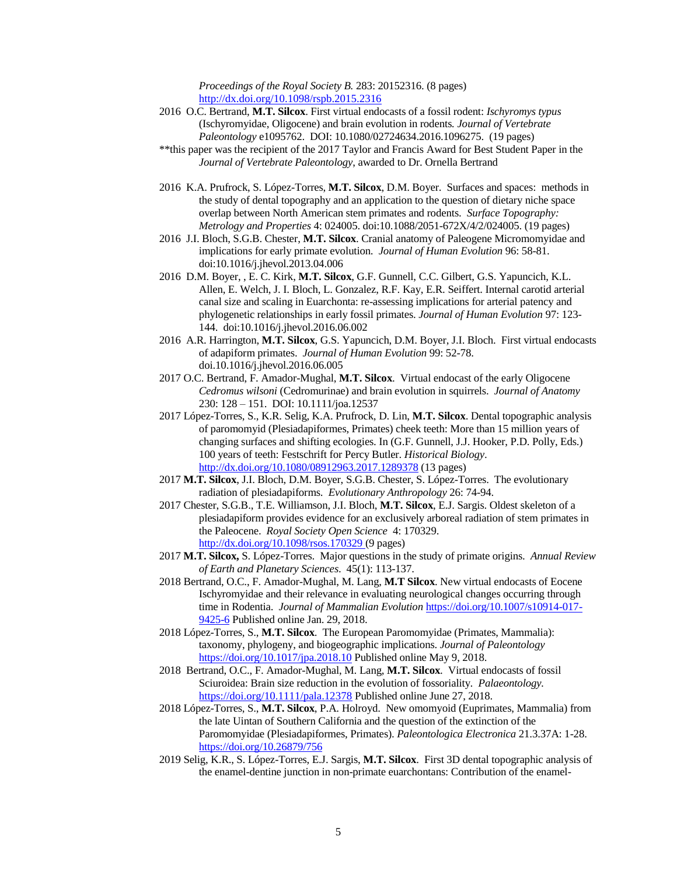*Proceedings of the Royal Society B.* 283: 20152316. (8 pages) <http://dx.doi.org/10.1098/rspb.2015.2316>

- 2016 O.C. Bertrand, **M.T. Silcox**. First virtual endocasts of a fossil rodent: *Ischyromys typus* (Ischyromyidae, Oligocene) and brain evolution in rodents*. Journal of Vertebrate Paleontology* e1095762. DOI: 10.1080/02724634.2016.1096275. (19 pages)
- \*\*this paper was the recipient of the 2017 Taylor and Francis Award for Best Student Paper in the *Journal of Vertebrate Paleontology*, awarded to Dr. Ornella Bertrand
- 2016 K.A. Prufrock, S. López-Torres, **M.T. Silcox**, D.M. Boyer. Surfaces and spaces: methods in the study of dental topography and an application to the question of dietary niche space overlap between North American stem primates and rodents. *Surface Topography: Metrology and Properties* 4: 024005. doi:10.1088/2051-672X/4/2/024005. (19 pages)
- 2016 J.I. Bloch, S.G.B. Chester, **M.T. Silcox**. Cranial anatomy of Paleogene Micromomyidae and implications for early primate evolution. *Journal of Human Evolution* 96: 58-81. doi:10.1016/j.jhevol.2013.04.006
- 2016 D.M. Boyer, , E. C. Kirk, **M.T. Silcox**, G.F. Gunnell, C.C. Gilbert, G.S. Yapuncich, K.L. Allen, E. Welch, J. I. Bloch, L. Gonzalez, R.F. Kay, E.R. Seiffert. Internal carotid arterial canal size and scaling in Euarchonta: re-assessing implications for arterial patency and phylogenetic relationships in early fossil primates. *Journal of Human Evolution* 97: 123- 144. doi:10.1016/j.jhevol.2016.06.002
- 2016 A.R. Harrington, **M.T. Silcox**, G.S. Yapuncich, D.M. Boyer, J.I. Bloch. First virtual endocasts of adapiform primates. *Journal of Human Evolution* 99: 52-78. doi.10.1016/j.jhevol.2016.06.005
- 2017 O.C. Bertrand, F. Amador-Mughal, **M.T. Silcox**. Virtual endocast of the early Oligocene *Cedromus wilsoni* (Cedromurinae) and brain evolution in squirrels. *Journal of Anatomy* 230: 128 – 151. DOI: 10.1111/joa.12537
- 2017 López-Torres, S., K.R. Selig, K.A. Prufrock, D. Lin, **M.T. Silcox**. Dental topographic analysis of paromomyid (Plesiadapiformes, Primates) cheek teeth: More than 15 million years of changing surfaces and shifting ecologies. In (G.F. Gunnell, J.J. Hooker, P.D. Polly, Eds.) 100 years of teeth: Festschrift for Percy Butler. *Historical Biology*. <http://dx.doi.org/10.1080/08912963.2017.1289378> (13 pages)
- 2017 **M.T. Silcox**, J.I. Bloch, D.M. Boyer, S.G.B. Chester, S. López-Torres. The evolutionary radiation of plesiadapiforms. *Evolutionary Anthropology* 26: 74-94.
- 2017 Chester, S.G.B., T.E. Williamson, J.I. Bloch, **M.T. Silcox**, E.J. Sargis. Oldest skeleton of a plesiadapiform provides evidence for an exclusively arboreal radiation of stem primates in the Paleocene. *Royal Society Open Science* 4: 170329. <http://dx.doi.org/10.1098/rsos.170329> (9 pages)
- 2017 **M.T. Silcox,** S. López-Torres. Major questions in the study of primate origins. *Annual Review of Earth and Planetary Sciences*. 45(1): 113-137.
- 2018 Bertrand, O.C., F. Amador-Mughal, M. Lang, **M.T Silcox**. New virtual endocasts of Eocene Ischyromyidae and their relevance in evaluating neurological changes occurring through time in Rodentia. *Journal of Mammalian Evolution* [https://doi.org/10.1007/s10914-017-](https://doi.org/10.1007/s10914-017-9425-6) [9425-6](https://doi.org/10.1007/s10914-017-9425-6) Published online Jan. 29, 2018.
- 2018 López-Torres, S., **M.T. Silcox**. The European Paromomyidae (Primates, Mammalia): taxonomy, phylogeny, and biogeographic implications. *Journal of Paleontology* <https://doi.org/10.1017/jpa.2018.10> Published online May 9, 2018.
- 2018 Bertrand, O.C., F. Amador-Mughal, M. Lang, **M.T. Silcox**. Virtual endocasts of fossil Sciuroidea: Brain size reduction in the evolution of fossoriality*. Palaeontology.* <https://doi.org/10.1111/pala.12378> Published online June 27, 2018.
- 2018 López-Torres, S., **M.T. Silcox**, P.A. Holroyd. New omomyoid (Euprimates, Mammalia) from the late Uintan of Southern California and the question of the extinction of the Paromomyidae (Plesiadapiformes, Primates). *Paleontologica Electronica* 21.3.37A: 1-28. <https://doi.org/10.26879/756>
- 2019 Selig, K.R., S. López-Torres, E.J. Sargis, **M.T. Silcox**. First 3D dental topographic analysis of the enamel-dentine junction in non-primate euarchontans: Contribution of the enamel-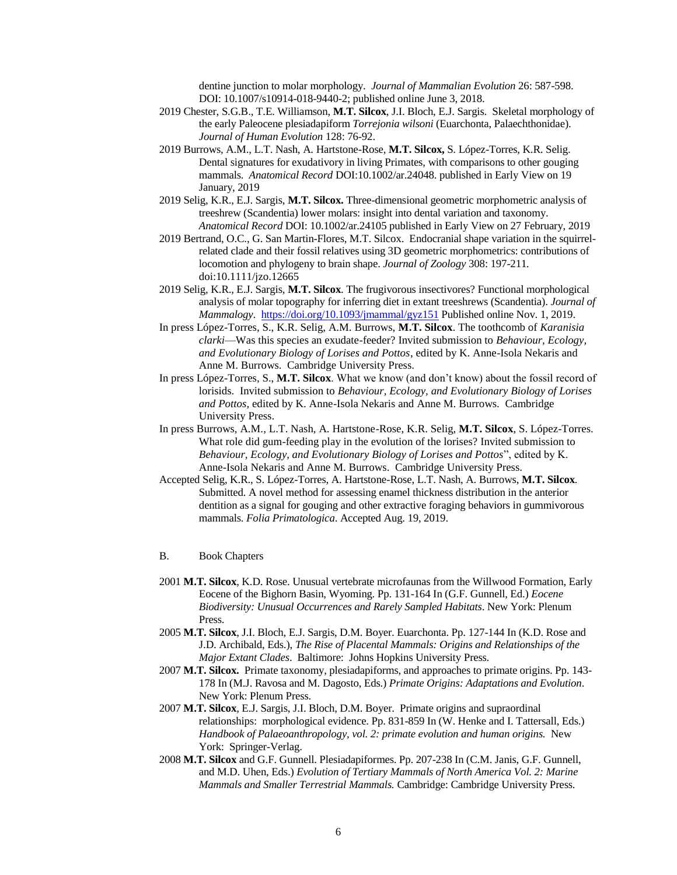dentine junction to molar morphology. *Journal of Mammalian Evolution* 26: 587-598. DOI: 10.1007/s10914-018-9440-2; published online June 3, 2018.

- 2019 Chester, S.G.B., T.E. Williamson, **M.T. Silcox**, J.I. Bloch, E.J. Sargis. Skeletal morphology of the early Paleocene plesiadapiform *Torrejonia wilsoni* (Euarchonta, Palaechthonidae). *Journal of Human Evolution* 128: 76-92.
- 2019 Burrows, A.M., L.T. Nash, A. Hartstone-Rose, **M.T. Silcox,** S. López-Torres, K.R. Selig. Dental signatures for exudativory in living Primates, with comparisons to other gouging mammals. *Anatomical Record* DOI:10.1002/ar.24048. published in Early View on 19 January, 2019
- 2019 Selig, K.R., E.J. Sargis, **M.T. Silcox.** Three-dimensional geometric morphometric analysis of treeshrew (Scandentia) lower molars: insight into dental variation and taxonomy. *Anatomical Record* DOI: 10.1002/ar.24105 published in Early View on 27 February, 2019
- 2019 Bertrand, O.C., G. San Martin-Flores, M.T. Silcox. Endocranial shape variation in the squirrelrelated clade and their fossil relatives using 3D geometric morphometrics: contributions of locomotion and phylogeny to brain shape. *Journal of Zoology* 308: 197-211*.* doi:10.1111/jzo.12665
- 2019 Selig, K.R., E.J. Sargis, **M.T. Silcox**. The frugivorous insectivores? Functional morphological analysis of molar topography for inferring diet in extant treeshrews (Scandentia). *Journal of Mammalogy*. <https://doi.org/10.1093/jmammal/gyz151> Published online Nov. 1, 2019.
- In press López-Torres, S., K.R. Selig, A.M. Burrows, **M.T. Silcox**. The toothcomb of *Karanisia clarki*—Was this species an exudate-feeder? Invited submission to *Behaviour, Ecology, and Evolutionary Biology of Lorises and Pottos*, edited by K. Anne-Isola Nekaris and Anne M. Burrows. Cambridge University Press.
- In press López-Torres, S., **M.T. Silcox**. What we know (and don't know) about the fossil record of lorisids. Invited submission to *Behaviour, Ecology, and Evolutionary Biology of Lorises and Pottos*, edited by K. Anne-Isola Nekaris and Anne M. Burrows. Cambridge University Press.
- In press Burrows, A.M., L.T. Nash, A. Hartstone-Rose, K.R. Selig, **M.T. Silcox**, S. López-Torres. What role did gum-feeding play in the evolution of the lorises? Invited submission to *Behaviour, Ecology, and Evolutionary Biology of Lorises and Pottos*", edited by K. Anne-Isola Nekaris and Anne M. Burrows. Cambridge University Press.
- Accepted Selig, K.R., S. López-Torres, A. Hartstone-Rose, L.T. Nash, A. Burrows, **M.T. Silcox**. Submitted. A novel method for assessing enamel thickness distribution in the anterior dentition as a signal for gouging and other extractive foraging behaviors in gummivorous mammals. *Folia Primatologica*. Accepted Aug. 19, 2019.

#### B. Book Chapters

- 2001 **M.T. Silcox**, K.D. Rose. Unusual vertebrate microfaunas from the Willwood Formation, Early Eocene of the Bighorn Basin, Wyoming. Pp. 131-164 In (G.F. Gunnell, Ed.) *Eocene Biodiversity: Unusual Occurrences and Rarely Sampled Habitats*. New York: Plenum Press.
- 2005 **M.T. Silcox**, J.I. Bloch, E.J. Sargis, D.M. Boyer. Euarchonta. Pp. 127-144 In (K.D. Rose and J.D. Archibald, Eds.), *The Rise of Placental Mammals: Origins and Relationships of the Major Extant Clades*. Baltimore: Johns Hopkins University Press.
- 2007 **M.T. Silcox.** Primate taxonomy, plesiadapiforms, and approaches to primate origins. Pp. 143- 178 In (M.J. Ravosa and M. Dagosto, Eds.) *Primate Origins: Adaptations and Evolution*. New York: Plenum Press.
- 2007 **M.T. Silcox**, E.J. Sargis, J.I. Bloch, D.M. Boyer. Primate origins and supraordinal relationships: morphological evidence. Pp. 831-859 In (W. Henke and I. Tattersall, Eds.) *Handbook of Palaeoanthropology, vol. 2: primate evolution and human origins.* New York: Springer-Verlag.
- 2008 **M.T. Silcox** and G.F. Gunnell. Plesiadapiformes. Pp. 207-238 In (C.M. Janis, G.F. Gunnell, and M.D. Uhen, Eds.) *Evolution of Tertiary Mammals of North America Vol. 2: Marine Mammals and Smaller Terrestrial Mammals.* Cambridge: Cambridge University Press.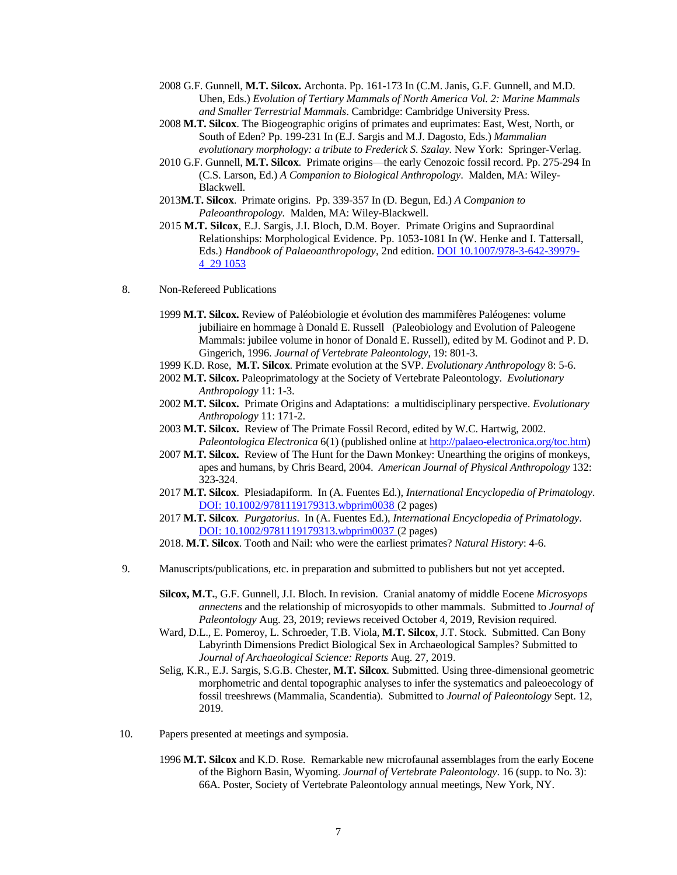- 2008 G.F. Gunnell, **M.T. Silcox.** Archonta. Pp. 161-173 In (C.M. Janis, G.F. Gunnell, and M.D. Uhen, Eds.) *Evolution of Tertiary Mammals of North America Vol. 2: Marine Mammals and Smaller Terrestrial Mammals*. Cambridge: Cambridge University Press.
- 2008 **M.T. Silcox**. The Biogeographic origins of primates and euprimates: East, West, North, or South of Eden? Pp. 199-231 In (E.J. Sargis and M.J. Dagosto, Eds.) *Mammalian evolutionary morphology: a tribute to Frederick S. Szalay.* New York: Springer-Verlag.
- 2010 G.F. Gunnell, **M.T. Silcox**. Primate origins—the early Cenozoic fossil record. Pp. 275-294 In (C.S. Larson, Ed.) *A Companion to Biological Anthropology*. Malden, MA: Wiley-Blackwell.
- 2013**M.T. Silcox**. Primate origins. Pp. 339-357 In (D. Begun, Ed.) *A Companion to Paleoanthropology.* Malden, MA: Wiley-Blackwell.
- 2015 **M.T. Silcox**, E.J. Sargis, J.I. Bloch, D.M. Boyer. Primate Origins and Supraordinal Relationships: Morphological Evidence. Pp. 1053-1081 In (W. Henke and I. Tattersall, Eds.) *Handbook of Palaeoanthropology*, 2nd edition. DOI 10.1007/978-3-642-39979- 4\_29 1053
- 8. Non-Refereed Publications
	- 1999 **M.T. Silcox.** Review of Paléobiologie et évolution des mammifères Paléogenes: volume jubiliaire en hommage à Donald E. Russell (Paleobiology and Evolution of Paleogene Mammals: jubilee volume in honor of Donald E. Russell), edited by M. Godinot and P. D. Gingerich, 1996. *Journal of Vertebrate Paleontology*, 19: 801-3.
	- 1999 K.D. Rose, **M.T. Silcox**. Primate evolution at the SVP. *Evolutionary Anthropology* 8: 5-6.
	- 2002 **M.T. Silcox.** Paleoprimatology at the Society of Vertebrate Paleontology. *Evolutionary Anthropology* 11: 1-3.
	- 2002 **M.T. Silcox.** Primate Origins and Adaptations: a multidisciplinary perspective. *Evolutionary Anthropology* 11: 171-2.
	- 2003 **M.T. Silcox.** Review of The Primate Fossil Record, edited by W.C. Hartwig, 2002. *Paleontologica Electronica* 6(1) (published online a[t http://palaeo-electronica.org/toc.htm\)](http://palaeo-electronica.org/toc.htm)
	- 2007 **M.T. Silcox.** Review of The Hunt for the Dawn Monkey: Unearthing the origins of monkeys, apes and humans, by Chris Beard, 2004. *American Journal of Physical Anthropology* 132: 323-324.
	- 2017 **M.T. Silcox**. Plesiadapiform. In (A. Fuentes Ed.), *International Encyclopedia of Primatology*. DOI: 10.1002/9781119179313.wbprim0038 (2 pages)
	- 2017 **M.T. Silcox***. Purgatorius*. In (A. Fuentes Ed.), *International Encyclopedia of Primatology*. DOI: 10.1002/9781119179313.wbprim0037 (2 pages)
	- 2018. **M.T. Silcox**. Tooth and Nail: who were the earliest primates? *Natural History*: 4-6.
- 9. Manuscripts/publications, etc. in preparation and submitted to publishers but not yet accepted.
	- **Silcox, M.T.**, G.F. Gunnell, J.I. Bloch. In revision. Cranial anatomy of middle Eocene *Microsyops annectens* and the relationship of microsyopids to other mammals. Submitted to *Journal of Paleontology* Aug. 23, 2019; reviews received October 4, 2019, Revision required.
	- Ward, D.L., E. Pomeroy, L. Schroeder, T.B. Viola, **M.T. Silcox**, J.T. Stock. Submitted. Can Bony Labyrinth Dimensions Predict Biological Sex in Archaeological Samples? Submitted to *Journal of Archaeological Science: Reports* Aug. 27, 2019.
	- Selig, K.R., E.J. Sargis, S.G.B. Chester, **M.T. Silcox**. Submitted. Using three-dimensional geometric morphometric and dental topographic analyses to infer the systematics and paleoecology of fossil treeshrews (Mammalia, Scandentia). Submitted to *Journal of Paleontology* Sept. 12, 2019.
- 10. Papers presented at meetings and symposia.
	- 1996 **M.T. Silcox** and K.D. Rose. Remarkable new microfaunal assemblages from the early Eocene of the Bighorn Basin, Wyoming. *Journal of Vertebrate Paleontology*. 16 (supp. to No. 3): 66A. Poster, Society of Vertebrate Paleontology annual meetings, New York, NY.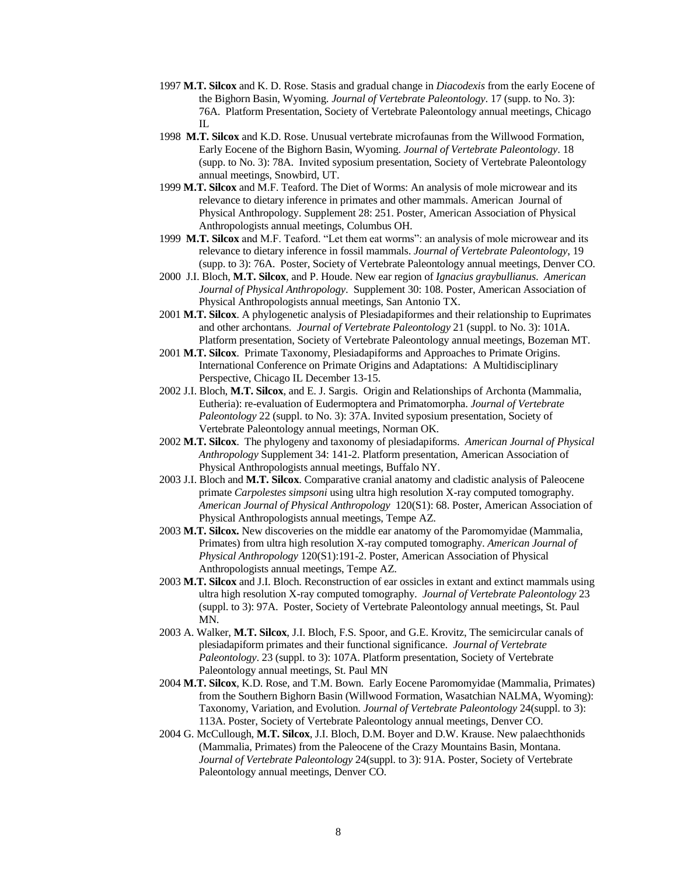- 1997 **M.T. Silcox** and K. D. Rose. Stasis and gradual change in *Diacodexis* from the early Eocene of the Bighorn Basin, Wyoming. *Journal of Vertebrate Paleontology*. 17 (supp. to No. 3): 76A. Platform Presentation, Society of Vertebrate Paleontology annual meetings, Chicago IL
- 1998 **M.T. Silcox** and K.D. Rose. Unusual vertebrate microfaunas from the Willwood Formation, Early Eocene of the Bighorn Basin, Wyoming. *Journal of Vertebrate Paleontology*. 18 (supp. to No. 3): 78A. Invited syposium presentation, Society of Vertebrate Paleontology annual meetings, Snowbird, UT.
- 1999 **M.T. Silcox** and M.F. Teaford. The Diet of Worms: An analysis of mole microwear and its relevance to dietary inference in primates and other mammals. American Journal of Physical Anthropology. Supplement 28: 251. Poster, American Association of Physical Anthropologists annual meetings, Columbus OH.
- 1999 **M.T. Silcox** and M.F. Teaford. "Let them eat worms": an analysis of mole microwear and its relevance to dietary inference in fossil mammals. *Journal of Vertebrate Paleontology*, 19 (supp. to 3): 76A. Poster, Society of Vertebrate Paleontology annual meetings, Denver CO.
- 2000 J.I. Bloch, **M.T. Silcox**, and P. Houde. New ear region of *Ignacius graybullianus*. *American Journal of Physical Anthropology*. Supplement 30: 108. Poster, American Association of Physical Anthropologists annual meetings, San Antonio TX.
- 2001 **M.T. Silcox**. A phylogenetic analysis of Plesiadapiformes and their relationship to Euprimates and other archontans. *Journal of Vertebrate Paleontology* 21 (suppl. to No. 3): 101A. Platform presentation, Society of Vertebrate Paleontology annual meetings, Bozeman MT.
- 2001 **M.T. Silcox**. Primate Taxonomy, Plesiadapiforms and Approaches to Primate Origins. International Conference on Primate Origins and Adaptations: A Multidisciplinary Perspective, Chicago IL December 13-15.
- 2002 J.I. Bloch, **M.T. Silcox**, and E. J. Sargis. Origin and Relationships of Archonta (Mammalia, Eutheria): re-evaluation of Eudermoptera and Primatomorpha. *Journal of Vertebrate Paleontology* 22 (suppl. to No. 3): 37A. Invited syposium presentation, Society of Vertebrate Paleontology annual meetings, Norman OK.
- 2002 **M.T. Silcox**. The phylogeny and taxonomy of plesiadapiforms. *American Journal of Physical Anthropology* Supplement 34: 141-2. Platform presentation, American Association of Physical Anthropologists annual meetings, Buffalo NY.
- 2003 J.I. Bloch and **M.T. Silcox**. Comparative cranial anatomy and cladistic analysis of Paleocene primate *Carpolestes simpsoni* using ultra high resolution X-ray computed tomography. *American Journal of Physical Anthropology* 120(S1): 68. Poster, American Association of Physical Anthropologists annual meetings, Tempe AZ.
- 2003 **M.T. Silcox.** New discoveries on the middle ear anatomy of the Paromomyidae (Mammalia, Primates) from ultra high resolution X-ray computed tomography. *American Journal of Physical Anthropology* 120(S1):191-2. Poster, American Association of Physical Anthropologists annual meetings, Tempe AZ.
- 2003 **M.T. Silcox** and J.I. Bloch. Reconstruction of ear ossicles in extant and extinct mammals using ultra high resolution X-ray computed tomography. *Journal of Vertebrate Paleontology* 23 (suppl. to 3): 97A. Poster, Society of Vertebrate Paleontology annual meetings, St. Paul MN.
- 2003 A. Walker, **M.T. Silcox**, J.I. Bloch, F.S. Spoor, and G.E. Krovitz, The semicircular canals of plesiadapiform primates and their functional significance. *Journal of Vertebrate Paleontology*. 23 (suppl. to 3): 107A. Platform presentation, Society of Vertebrate Paleontology annual meetings, St. Paul MN
- 2004 **M.T. Silcox**, K.D. Rose, and T.M. Bown. Early Eocene Paromomyidae (Mammalia, Primates) from the Southern Bighorn Basin (Willwood Formation, Wasatchian NALMA, Wyoming): Taxonomy, Variation, and Evolution. *Journal of Vertebrate Paleontology* 24(suppl. to 3): 113A. Poster, Society of Vertebrate Paleontology annual meetings, Denver CO.
- 2004 G. McCullough, **M.T. Silcox**, J.I. Bloch, D.M. Boyer and D.W. Krause. New palaechthonids (Mammalia, Primates) from the Paleocene of the Crazy Mountains Basin, Montana. *Journal of Vertebrate Paleontology* 24(suppl. to 3): 91A. Poster, Society of Vertebrate Paleontology annual meetings, Denver CO.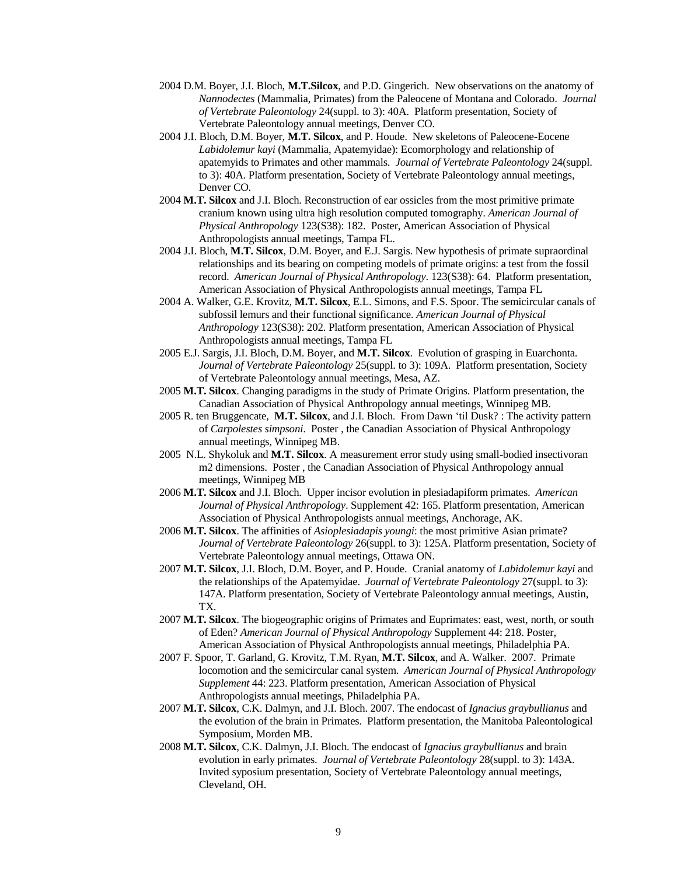- 2004 D.M. Boyer, J.I. Bloch, **M.T.Silcox**, and P.D. Gingerich. New observations on the anatomy of *Nannodectes* (Mammalia, Primates) from the Paleocene of Montana and Colorado. *Journal of Vertebrate Paleontology* 24(suppl. to 3): 40A. Platform presentation, Society of Vertebrate Paleontology annual meetings, Denver CO.
- 2004 J.I. Bloch, D.M. Boyer, **M.T. Silcox**, and P. Houde. New skeletons of Paleocene-Eocene *Labidolemur kayi* (Mammalia, Apatemyidae): Ecomorphology and relationship of apatemyids to Primates and other mammals. *Journal of Vertebrate Paleontology* 24(suppl. to 3): 40A. Platform presentation, Society of Vertebrate Paleontology annual meetings, Denver CO.
- 2004 **M.T. Silcox** and J.I. Bloch. Reconstruction of ear ossicles from the most primitive primate cranium known using ultra high resolution computed tomography. *American Journal of Physical Anthropology* 123(S38): 182. Poster, American Association of Physical Anthropologists annual meetings, Tampa FL.
- 2004 J.I. Bloch, **M.T. Silcox**, D.M. Boyer, and E.J. Sargis. New hypothesis of primate supraordinal relationships and its bearing on competing models of primate origins: a test from the fossil record. *American Journal of Physical Anthropology*. 123(S38): 64. Platform presentation, American Association of Physical Anthropologists annual meetings, Tampa FL
- 2004 A. Walker, G.E. Krovitz, **M.T. Silcox**, E.L. Simons, and F.S. Spoor. The semicircular canals of subfossil lemurs and their functional significance. *American Journal of Physical Anthropology* 123(S38): 202. Platform presentation, American Association of Physical Anthropologists annual meetings, Tampa FL
- 2005 E.J. Sargis, J.I. Bloch, D.M. Boyer, and **M.T. Silcox**. Evolution of grasping in Euarchonta. *Journal of Vertebrate Paleontology* 25(suppl. to 3): 109A. Platform presentation, Society of Vertebrate Paleontology annual meetings, Mesa, AZ.
- 2005 **M.T. Silcox**. Changing paradigms in the study of Primate Origins. Platform presentation, the Canadian Association of Physical Anthropology annual meetings, Winnipeg MB.
- 2005 R. ten Bruggencate, **M.T. Silcox**, and J.I. Bloch. From Dawn 'til Dusk? : The activity pattern of *Carpolestes simpsoni*. Poster , the Canadian Association of Physical Anthropology annual meetings, Winnipeg MB.
- 2005 N.L. Shykoluk and **M.T. Silcox**. A measurement error study using small-bodied insectivoran m2 dimensions. Poster , the Canadian Association of Physical Anthropology annual meetings, Winnipeg MB
- 2006 **M.T. Silcox** and J.I. Bloch. Upper incisor evolution in plesiadapiform primates. *American Journal of Physical Anthropology*. Supplement 42: 165. Platform presentation, American Association of Physical Anthropologists annual meetings, Anchorage, AK.
- 2006 **M.T. Silcox**. The affinities of *Asioplesiadapis youngi*: the most primitive Asian primate? *Journal of Vertebrate Paleontology* 26(suppl. to 3): 125A. Platform presentation, Society of Vertebrate Paleontology annual meetings, Ottawa ON.
- 2007 **M.T. Silcox**, J.I. Bloch, D.M. Boyer, and P. Houde. Cranial anatomy of *Labidolemur kayi* and the relationships of the Apatemyidae. *Journal of Vertebrate Paleontology* 27(suppl. to 3): 147A. Platform presentation, Society of Vertebrate Paleontology annual meetings, Austin, TX.
- 2007 **M.T. Silcox**. The biogeographic origins of Primates and Euprimates: east, west, north, or south of Eden? *American Journal of Physical Anthropology* Supplement 44: 218. Poster, American Association of Physical Anthropologists annual meetings, Philadelphia PA.
- 2007 F. Spoor, T. Garland, G. Krovitz, T.M. Ryan, **M.T. Silcox**, and A. Walker. 2007. Primate locomotion and the semicircular canal system. *American Journal of Physical Anthropology Supplement* 44: 223. Platform presentation, American Association of Physical Anthropologists annual meetings, Philadelphia PA.
- 2007 **M.T. Silcox**, C.K. Dalmyn, and J.I. Bloch. 2007. The endocast of *Ignacius graybullianus* and the evolution of the brain in Primates. Platform presentation, the Manitoba Paleontological Symposium, Morden MB.
- 2008 **M.T. Silcox**, C.K. Dalmyn, J.I. Bloch. The endocast of *Ignacius graybullianus* and brain evolution in early primates. *Journal of Vertebrate Paleontology* 28(suppl. to 3): 143A. Invited syposium presentation, Society of Vertebrate Paleontology annual meetings, Cleveland, OH.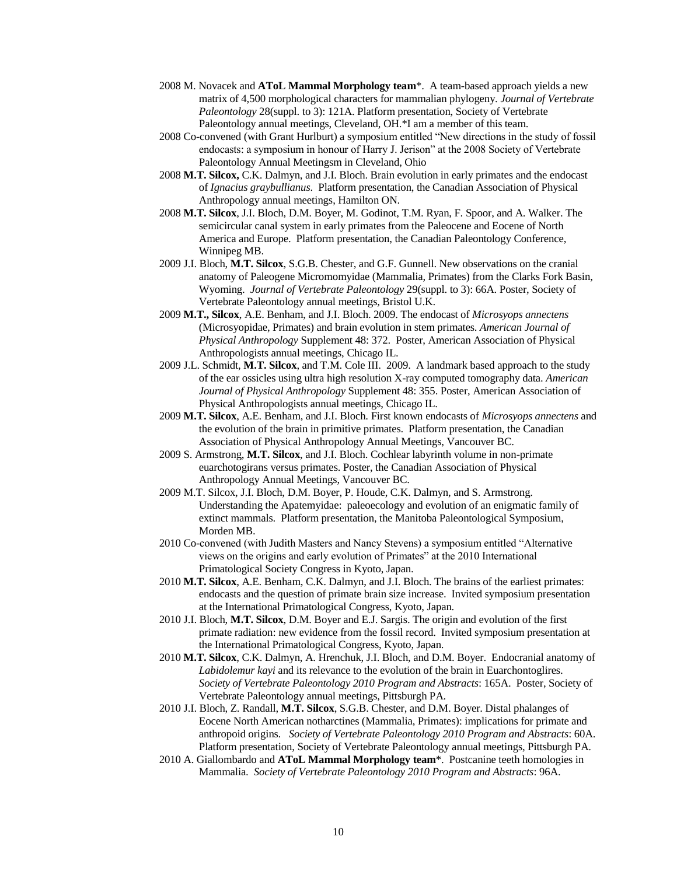- 2008 M. Novacek and **AToL Mammal Morphology team**\*. A team-based approach yields a new matrix of 4,500 morphological characters for mammalian phylogeny. *Journal of Vertebrate Paleontology* 28(suppl. to 3): 121A. Platform presentation, Society of Vertebrate Paleontology annual meetings, Cleveland, OH.\*I am a member of this team.
- 2008 Co-convened (with Grant Hurlburt) a symposium entitled "New directions in the study of fossil endocasts: a symposium in honour of Harry J. Jerison" at the 2008 Society of Vertebrate Paleontology Annual Meetingsm in Cleveland, Ohio
- 2008 **M.T. Silcox,** C.K. Dalmyn, and J.I. Bloch. Brain evolution in early primates and the endocast of *Ignacius graybullianus*. Platform presentation, the Canadian Association of Physical Anthropology annual meetings, Hamilton ON.
- 2008 **M.T. Silcox**, J.I. Bloch, D.M. Boyer, M. Godinot, T.M. Ryan, F. Spoor, and A. Walker. The semicircular canal system in early primates from the Paleocene and Eocene of North America and Europe. Platform presentation, the Canadian Paleontology Conference, Winnipeg MB.
- 2009 J.I. Bloch, **M.T. Silcox**, S.G.B. Chester, and G.F. Gunnell. New observations on the cranial anatomy of Paleogene Micromomyidae (Mammalia, Primates) from the Clarks Fork Basin, Wyoming. *Journal of Vertebrate Paleontology* 29(suppl. to 3): 66A. Poster, Society of Vertebrate Paleontology annual meetings, Bristol U.K.
- 2009 **M.T., Silcox**, A.E. Benham, and J.I. Bloch. 2009. The endocast of *Microsyops annectens* (Microsyopidae, Primates) and brain evolution in stem primates. *American Journal of Physical Anthropology* Supplement 48: 372. Poster, American Association of Physical Anthropologists annual meetings, Chicago IL.
- 2009 J.L. Schmidt, **M.T. Silcox**, and T.M. Cole III. 2009. A landmark based approach to the study of the ear ossicles using ultra high resolution X-ray computed tomography data. *American Journal of Physical Anthropology* Supplement 48: 355. Poster, American Association of Physical Anthropologists annual meetings, Chicago IL.
- 2009 **M.T. Silcox**, A.E. Benham, and J.I. Bloch. First known endocasts of *Microsyops annectens* and the evolution of the brain in primitive primates. Platform presentation, the Canadian Association of Physical Anthropology Annual Meetings, Vancouver BC.
- 2009 S. Armstrong, **M.T. Silcox**, and J.I. Bloch. Cochlear labyrinth volume in non-primate euarchotogirans versus primates. Poster, the Canadian Association of Physical Anthropology Annual Meetings, Vancouver BC.
- 2009 M.T. Silcox, J.I. Bloch, D.M. Boyer, P. Houde, C.K. Dalmyn, and S. Armstrong. Understanding the Apatemyidae: paleoecology and evolution of an enigmatic family of extinct mammals. Platform presentation, the Manitoba Paleontological Symposium, Morden MB.
- 2010 Co-convened (with Judith Masters and Nancy Stevens) a symposium entitled "Alternative views on the origins and early evolution of Primates" at the 2010 International Primatological Society Congress in Kyoto, Japan.
- 2010 **M.T. Silcox**, A.E. Benham, C.K. Dalmyn, and J.I. Bloch. The brains of the earliest primates: endocasts and the question of primate brain size increase. Invited symposium presentation at the International Primatological Congress, Kyoto, Japan.
- 2010 J.I. Bloch, **M.T. Silcox**, D.M. Boyer and E.J. Sargis. The origin and evolution of the first primate radiation: new evidence from the fossil record. Invited symposium presentation at the International Primatological Congress, Kyoto, Japan.
- 2010 **M.T. Silcox**, C.K. Dalmyn, A. Hrenchuk, J.I. Bloch, and D.M. Boyer. Endocranial anatomy of *Labidolemur kayi* and its relevance to the evolution of the brain in Euarchontoglires. *Society of Vertebrate Paleontology 2010 Program and Abstracts*: 165A. Poster, Society of Vertebrate Paleontology annual meetings, Pittsburgh PA.
- 2010 J.I. Bloch, Z. Randall, **M.T. Silcox**, S.G.B. Chester, and D.M. Boyer. Distal phalanges of Eocene North American notharctines (Mammalia, Primates): implications for primate and anthropoid origins. *Society of Vertebrate Paleontology 2010 Program and Abstracts*: 60A. Platform presentation, Society of Vertebrate Paleontology annual meetings, Pittsburgh PA.
- 2010 A. Giallombardo and **AToL Mammal Morphology team**\*. Postcanine teeth homologies in Mammalia. *Society of Vertebrate Paleontology 2010 Program and Abstracts*: 96A.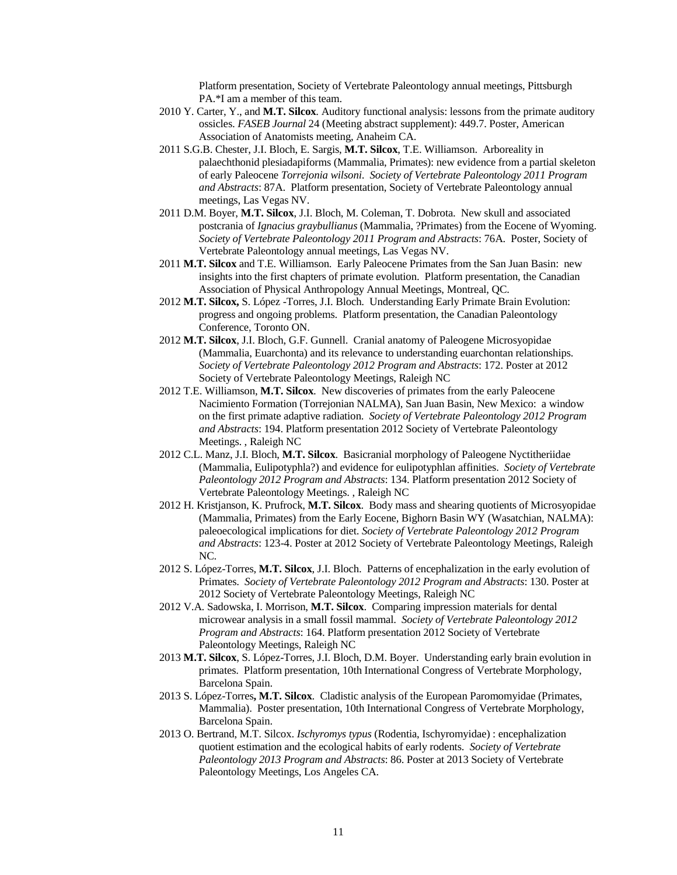Platform presentation, Society of Vertebrate Paleontology annual meetings, Pittsburgh PA.\*I am a member of this team.

- 2010 Y. Carter, Y., and **M.T. Silcox**. Auditory functional analysis: lessons from the primate auditory ossicles. *FASEB Journal* 24 (Meeting abstract supplement): 449.7. Poster, American Association of Anatomists meeting, Anaheim CA.
- 2011 S.G.B. Chester, J.I. Bloch, E. Sargis, **M.T. Silcox**, T.E. Williamson. Arboreality in palaechthonid plesiadapiforms (Mammalia, Primates): new evidence from a partial skeleton of early Paleocene *Torrejonia wilsoni*. *Society of Vertebrate Paleontology 2011 Program and Abstracts*: 87A. Platform presentation, Society of Vertebrate Paleontology annual meetings, Las Vegas NV.
- 2011 D.M. Boyer, **M.T. Silcox**, J.I. Bloch, M. Coleman, T. Dobrota. New skull and associated postcrania of *Ignacius graybullianus* (Mammalia, ?Primates) from the Eocene of Wyoming. *Society of Vertebrate Paleontology 2011 Program and Abstracts*: 76A. Poster, Society of Vertebrate Paleontology annual meetings, Las Vegas NV.
- 2011 **M.T. Silcox** and T.E. Williamson. Early Paleocene Primates from the San Juan Basin: new insights into the first chapters of primate evolution. Platform presentation, the Canadian Association of Physical Anthropology Annual Meetings, Montreal, QC.
- 2012 **M.T. Silcox,** S. López -Torres, J.I. Bloch. Understanding Early Primate Brain Evolution: progress and ongoing problems. Platform presentation, the Canadian Paleontology Conference, Toronto ON.
- 2012 **M.T. Silcox**, J.I. Bloch, G.F. Gunnell. Cranial anatomy of Paleogene Microsyopidae (Mammalia, Euarchonta) and its relevance to understanding euarchontan relationships. *Society of Vertebrate Paleontology 2012 Program and Abstracts*: 172. Poster at 2012 Society of Vertebrate Paleontology Meetings, Raleigh NC
- 2012 T.E. Williamson, **M.T. Silcox**. New discoveries of primates from the early Paleocene Nacimiento Formation (Torrejonian NALMA), San Juan Basin, New Mexico: a window on the first primate adaptive radiation. *Society of Vertebrate Paleontology 2012 Program and Abstracts*: 194. Platform presentation 2012 Society of Vertebrate Paleontology Meetings. , Raleigh NC
- 2012 C.L. Manz, J.I. Bloch, **M.T. Silcox**. Basicranial morphology of Paleogene Nyctitheriidae (Mammalia, Eulipotyphla?) and evidence for eulipotyphlan affinities. *Society of Vertebrate Paleontology 2012 Program and Abstracts*: 134. Platform presentation 2012 Society of Vertebrate Paleontology Meetings. , Raleigh NC
- 2012 H. Kristjanson, K. Prufrock, **M.T. Silcox**. Body mass and shearing quotients of Microsyopidae (Mammalia, Primates) from the Early Eocene, Bighorn Basin WY (Wasatchian, NALMA): paleoecological implications for diet. *Society of Vertebrate Paleontology 2012 Program and Abstracts*: 123-4. Poster at 2012 Society of Vertebrate Paleontology Meetings, Raleigh NC.
- 2012 S. López-Torres, **M.T. Silcox**, J.I. Bloch. Patterns of encephalization in the early evolution of Primates. *Society of Vertebrate Paleontology 2012 Program and Abstracts*: 130. Poster at 2012 Society of Vertebrate Paleontology Meetings, Raleigh NC
- 2012 V.A. Sadowska, I. Morrison, **M.T. Silcox**. Comparing impression materials for dental microwear analysis in a small fossil mammal. *Society of Vertebrate Paleontology 2012 Program and Abstracts*: 164. Platform presentation 2012 Society of Vertebrate Paleontology Meetings, Raleigh NC
- 2013 **M.T. Silcox**, S. López-Torres, J.I. Bloch, D.M. Boyer. Understanding early brain evolution in primates. Platform presentation, 10th International Congress of Vertebrate Morphology, Barcelona Spain.
- 2013 S. López-Torres**, M.T. Silcox**. Cladistic analysis of the European Paromomyidae (Primates, Mammalia). Poster presentation, 10th International Congress of Vertebrate Morphology, Barcelona Spain.
- 2013 O. Bertrand, M.T. Silcox. *Ischyromys typus* (Rodentia, Ischyromyidae) : encephalization quotient estimation and the ecological habits of early rodents. *Society of Vertebrate Paleontology 2013 Program and Abstracts*: 86. Poster at 2013 Society of Vertebrate Paleontology Meetings, Los Angeles CA.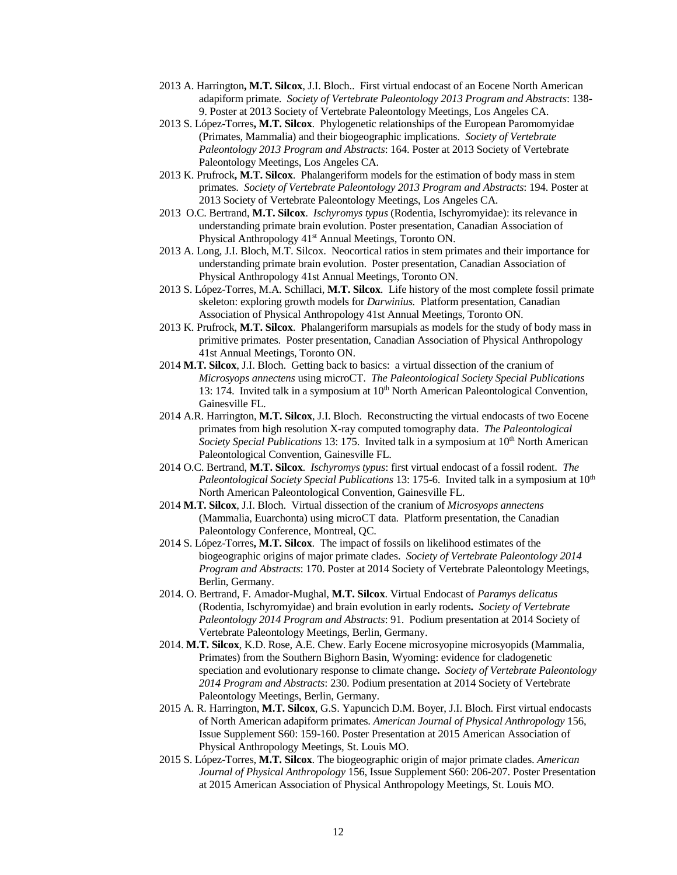- 2013 A. Harrington**, M.T. Silcox**, J.I. Bloch.. First virtual endocast of an Eocene North American adapiform primate. *Society of Vertebrate Paleontology 2013 Program and Abstracts*: 138- 9. Poster at 2013 Society of Vertebrate Paleontology Meetings, Los Angeles CA.
- 2013 S. López-Torres**, M.T. Silcox**. Phylogenetic relationships of the European Paromomyidae (Primates, Mammalia) and their biogeographic implications. *Society of Vertebrate Paleontology 2013 Program and Abstracts*: 164. Poster at 2013 Society of Vertebrate Paleontology Meetings, Los Angeles CA.
- 2013 K. Prufrock**, M.T. Silcox**. Phalangeriform models for the estimation of body mass in stem primates. *Society of Vertebrate Paleontology 2013 Program and Abstracts*: 194. Poster at 2013 Society of Vertebrate Paleontology Meetings, Los Angeles CA.
- 2013 O.C. Bertrand, **M.T. Silcox**. *Ischyromys typus* (Rodentia, Ischyromyidae): its relevance in understanding primate brain evolution. Poster presentation, Canadian Association of Physical Anthropology 41<sup>st</sup> Annual Meetings, Toronto ON.
- 2013 A. Long, J.I. Bloch, M.T. Silcox. Neocortical ratios in stem primates and their importance for understanding primate brain evolution. Poster presentation, Canadian Association of Physical Anthropology 41st Annual Meetings, Toronto ON.
- 2013 S. López-Torres, M.A. Schillaci, **M.T. Silcox**. Life history of the most complete fossil primate skeleton: exploring growth models for *Darwinius.* Platform presentation, Canadian Association of Physical Anthropology 41st Annual Meetings, Toronto ON.
- 2013 K. Prufrock, **M.T. Silcox**. Phalangeriform marsupials as models for the study of body mass in primitive primates. Poster presentation, Canadian Association of Physical Anthropology 41st Annual Meetings, Toronto ON.
- 2014 **M.T. Silcox**, J.I. Bloch. Getting back to basics: a virtual dissection of the cranium of *Microsyops annectens* using microCT. *The Paleontological Society Special Publications* 13: 174. Invited talk in a symposium at  $10<sup>th</sup>$  North American Paleontological Convention, Gainesville FL.
- 2014 A.R. Harrington, **M.T. Silcox**, J.I. Bloch. Reconstructing the virtual endocasts of two Eocene primates from high resolution X-ray computed tomography data. *The Paleontological Society Special Publications* 13: 175. Invited talk in a symposium at 10<sup>th</sup> North American Paleontological Convention, Gainesville FL.
- 2014 O.C. Bertrand, **M.T. Silcox**. *Ischyromys typus*: first virtual endocast of a fossil rodent. *The Paleontological Society Special Publications* 13: 175-6. Invited talk in a symposium at 10<sup>th</sup> North American Paleontological Convention, Gainesville FL.
- 2014 **M.T. Silcox**, J.I. Bloch. Virtual dissection of the cranium of *Microsyops annectens* (Mammalia, Euarchonta) using microCT data. Platform presentation, the Canadian Paleontology Conference, Montreal, QC.
- 2014 S. López-Torres**, M.T. Silcox**. The impact of fossils on likelihood estimates of the biogeographic origins of major primate clades. *Society of Vertebrate Paleontology 2014 Program and Abstracts*: 170. Poster at 2014 Society of Vertebrate Paleontology Meetings, Berlin, Germany.
- 2014. O. Bertrand, F. Amador-Mughal, **M.T. Silcox**. Virtual Endocast of *Paramys delicatus* (Rodentia, Ischyromyidae) and brain evolution in early rodents**.** *Society of Vertebrate Paleontology 2014 Program and Abstracts*: 91. Podium presentation at 2014 Society of Vertebrate Paleontology Meetings, Berlin, Germany.
- 2014. **M.T. Silcox**, K.D. Rose, A.E. Chew. Early Eocene microsyopine microsyopids (Mammalia, Primates) from the Southern Bighorn Basin, Wyoming: evidence for cladogenetic speciation and evolutionary response to climate change**.** *Society of Vertebrate Paleontology 2014 Program and Abstracts*: 230. Podium presentation at 2014 Society of Vertebrate Paleontology Meetings, Berlin, Germany.
- 2015 A. R. Harrington, **M.T. Silcox**, G.S. Yapuncich D.M. Boyer, J.I. Bloch. First virtual endocasts of North American adapiform primates. *American Journal of Physical Anthropology* 156, Issue Supplement S60: 159-160. Poster Presentation at 2015 American Association of Physical Anthropology Meetings, St. Louis MO.
- 2015 S. López-Torres, **M.T. Silcox**. The biogeographic origin of major primate clades. *American Journal of Physical Anthropology* 156, Issue Supplement S60: 206-207. Poster Presentation at 2015 American Association of Physical Anthropology Meetings, St. Louis MO.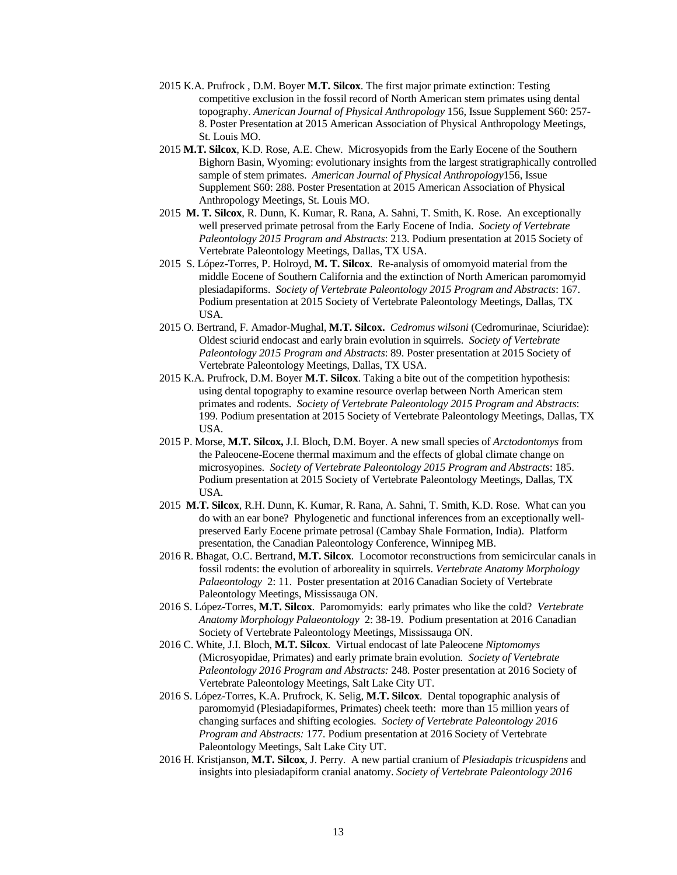- 2015 K.A. Prufrock , D.M. Boyer **M.T. Silcox**. The first major primate extinction: Testing competitive exclusion in the fossil record of North American stem primates using dental topography. *American Journal of Physical Anthropology* 156, Issue Supplement S60: 257- 8. Poster Presentation at 2015 American Association of Physical Anthropology Meetings, St. Louis MO.
- 2015 **M.T. Silcox**, K.D. Rose, A.E. Chew. Microsyopids from the Early Eocene of the Southern Bighorn Basin, Wyoming: evolutionary insights from the largest stratigraphically controlled sample of stem primates. *American Journal of Physical Anthropology*156, Issue Supplement S60: 288. Poster Presentation at 2015 American Association of Physical Anthropology Meetings, St. Louis MO.
- 2015 **M. T. Silcox**, R. Dunn, K. Kumar, R. Rana, A. Sahni, T. Smith, K. Rose. An exceptionally well preserved primate petrosal from the Early Eocene of India. *Society of Vertebrate Paleontology 2015 Program and Abstracts*: 213. Podium presentation at 2015 Society of Vertebrate Paleontology Meetings, Dallas, TX USA.
- 2015 S. López-Torres, P. Holroyd, **M. T. Silcox**. Re-analysis of omomyoid material from the middle Eocene of Southern California and the extinction of North American paromomyid plesiadapiforms. *Society of Vertebrate Paleontology 2015 Program and Abstracts*: 167. Podium presentation at 2015 Society of Vertebrate Paleontology Meetings, Dallas, TX USA.
- 2015 O. Bertrand, F. Amador-Mughal, **M.T. Silcox.** *Cedromus wilsoni* (Cedromurinae, Sciuridae): Oldest sciurid endocast and early brain evolution in squirrels. *Society of Vertebrate Paleontology 2015 Program and Abstracts*: 89. Poster presentation at 2015 Society of Vertebrate Paleontology Meetings, Dallas, TX USA.
- 2015 K.A. Prufrock, D.M. Boyer **M.T. Silcox**. Taking a bite out of the competition hypothesis: using dental topography to examine resource overlap between North American stem primates and rodents. *Society of Vertebrate Paleontology 2015 Program and Abstracts*: 199. Podium presentation at 2015 Society of Vertebrate Paleontology Meetings, Dallas, TX USA.
- 2015 P. Morse, **M.T. Silcox,** J.I. Bloch, D.M. Boyer. A new small species of *Arctodontomys* from the Paleocene-Eocene thermal maximum and the effects of global climate change on microsyopines. *Society of Vertebrate Paleontology 2015 Program and Abstracts*: 185. Podium presentation at 2015 Society of Vertebrate Paleontology Meetings, Dallas, TX USA.
- 2015 **M.T. Silcox**, R.H. Dunn, K. Kumar, R. Rana, A. Sahni, T. Smith, K.D. Rose. What can you do with an ear bone? Phylogenetic and functional inferences from an exceptionally wellpreserved Early Eocene primate petrosal (Cambay Shale Formation, India). Platform presentation, the Canadian Paleontology Conference, Winnipeg MB.
- 2016 R. Bhagat, O.C. Bertrand, **M.T. Silcox**. Locomotor reconstructions from semicircular canals in fossil rodents: the evolution of arboreality in squirrels. *Vertebrate Anatomy Morphology Palaeontology* 2: 11. Poster presentation at 2016 Canadian Society of Vertebrate Paleontology Meetings, Mississauga ON.
- 2016 S. López-Torres, **M.T. Silcox**. Paromomyids: early primates who like the cold? *Vertebrate Anatomy Morphology Palaeontology* 2: 38-19.Podium presentation at 2016 Canadian Society of Vertebrate Paleontology Meetings, Mississauga ON.
- 2016 C. White, J.I. Bloch, **M.T. Silcox**. Virtual endocast of late Paleocene *Niptomomys*  (Microsyopidae, Primates) and early primate brain evolution. *Society of Vertebrate Paleontology 2016 Program and Abstracts:* 248*.* Poster presentation at 2016 Society of Vertebrate Paleontology Meetings, Salt Lake City UT.
- 2016 S. López-Torres, K.A. Prufrock, K. Selig, **M.T. Silcox**. Dental topographic analysis of paromomyid (Plesiadapiformes, Primates) cheek teeth: more than 15 million years of changing surfaces and shifting ecologies. *Society of Vertebrate Paleontology 2016 Program and Abstracts:* 177*.* Podium presentation at 2016 Society of Vertebrate Paleontology Meetings, Salt Lake City UT.
- 2016 H. Kristjanson, **M.T. Silcox**, J. Perry. A new partial cranium of *Plesiadapis tricuspidens* and insights into plesiadapiform cranial anatomy. *Society of Vertebrate Paleontology 2016*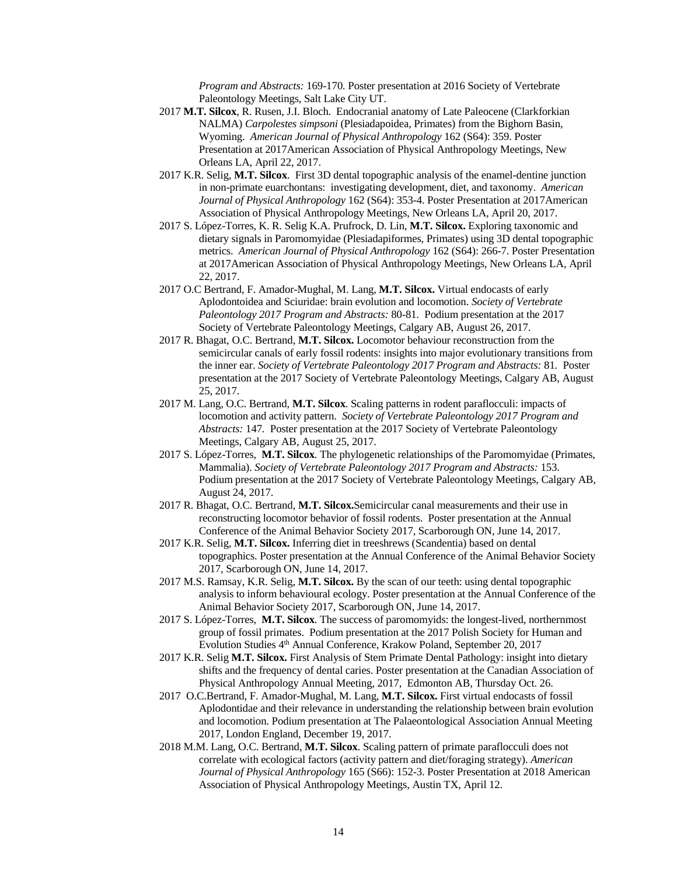*Program and Abstracts:* 169-170*.* Poster presentation at 2016 Society of Vertebrate Paleontology Meetings, Salt Lake City UT.

- 2017 **M.T. Silcox**, R. Rusen, J.I. Bloch. Endocranial anatomy of Late Paleocene (Clarkforkian NALMA) *Carpolestes simpsoni* (Plesiadapoidea, Primates) from the Bighorn Basin, Wyoming. *American Journal of Physical Anthropology* 162 (S64): 359. Poster Presentation at 2017American Association of Physical Anthropology Meetings, New Orleans LA, April 22, 2017.
- 2017 K.R. Selig, **M.T. Silcox**. First 3D dental topographic analysis of the enamel-dentine junction in non-primate euarchontans: investigating development, diet, and taxonomy. *American Journal of Physical Anthropology* 162 (S64): 353-4. Poster Presentation at 2017American Association of Physical Anthropology Meetings, New Orleans LA, April 20, 2017.
- 2017 S. López-Torres, K. R. Selig K.A. Prufrock, D. Lin, **M.T. Silcox.** Exploring taxonomic and dietary signals in Paromomyidae (Plesiadapiformes, Primates) using 3D dental topographic metrics. *American Journal of Physical Anthropology* 162 (S64): 266-7. Poster Presentation at 2017American Association of Physical Anthropology Meetings, New Orleans LA, April 22, 2017.
- 2017 O.C Bertrand, F. Amador-Mughal, M. Lang, **M.T. Silcox.** Virtual endocasts of early Aplodontoidea and Sciuridae: brain evolution and locomotion. *Society of Vertebrate Paleontology 2017 Program and Abstracts:* 80-81*.* Podium presentation at the 2017 Society of Vertebrate Paleontology Meetings, Calgary AB, August 26, 2017.
- 2017 R. Bhagat, O.C. Bertrand, **M.T. Silcox.** Locomotor behaviour reconstruction from the semicircular canals of early fossil rodents: insights into major evolutionary transitions from the inner ear. *Society of Vertebrate Paleontology 2017 Program and Abstracts:* 81*.* Poster presentation at the 2017 Society of Vertebrate Paleontology Meetings, Calgary AB, August 25, 2017.
- 2017 M. Lang, O.C. Bertrand, **M.T. Silcox**. Scaling patterns in rodent paraflocculi: impacts of locomotion and activity pattern. *Society of Vertebrate Paleontology 2017 Program and Abstracts:* 147*.* Poster presentation at the 2017 Society of Vertebrate Paleontology Meetings, Calgary AB, August 25, 2017.
- 2017 S. López-Torres, **M.T. Silcox**. The phylogenetic relationships of the Paromomyidae (Primates, Mammalia). *Society of Vertebrate Paleontology 2017 Program and Abstracts:* 153*.*  Podium presentation at the 2017 Society of Vertebrate Paleontology Meetings, Calgary AB, August 24, 2017.
- 2017 R. Bhagat, O.C. Bertrand, **M.T. Silcox.**Semicircular canal measurements and their use in reconstructing locomotor behavior of fossil rodents. Poster presentation at the Annual Conference of the Animal Behavior Society 2017, Scarborough ON, June 14, 2017.
- 2017 K.R. Selig, **M.T. Silcox.** Inferring diet in treeshrews (Scandentia) based on dental topographics. Poster presentation at the Annual Conference of the Animal Behavior Society 2017, Scarborough ON, June 14, 2017.
- 2017 M.S. Ramsay, K.R. Selig, **M.T. Silcox.** By the scan of our teeth: using dental topographic analysis to inform behavioural ecology. Poster presentation at the Annual Conference of the Animal Behavior Society 2017, Scarborough ON, June 14, 2017.
- 2017 S. López-Torres, **M.T. Silcox**. The success of paromomyids: the longest-lived, northernmost group of fossil primates. Podium presentation at the 2017 Polish Society for Human and Evolution Studies 4th Annual Conference, Krakow Poland, September 20, 2017
- 2017 K.R. Selig **M.T. Silcox.** First Analysis of Stem Primate Dental Pathology: insight into dietary shifts and the frequency of dental caries. Poster presentation at the Canadian Association of Physical Anthropology Annual Meeting, 2017, Edmonton AB, Thursday Oct. 26.
- 2017 O.C.Bertrand, F. Amador-Mughal, M. Lang, **M.T. Silcox.** First virtual endocasts of fossil Aplodontidae and their relevance in understanding the relationship between brain evolution and locomotion. Podium presentation at The Palaeontological Association Annual Meeting 2017, London England, December 19, 2017.
- 2018 M.M. Lang, O.C. Bertrand, **M.T. Silcox**. Scaling pattern of primate paraflocculi does not correlate with ecological factors (activity pattern and diet/foraging strategy). *American Journal of Physical Anthropology* 165 (S66): 152-3. Poster Presentation at 2018 American Association of Physical Anthropology Meetings, Austin TX, April 12.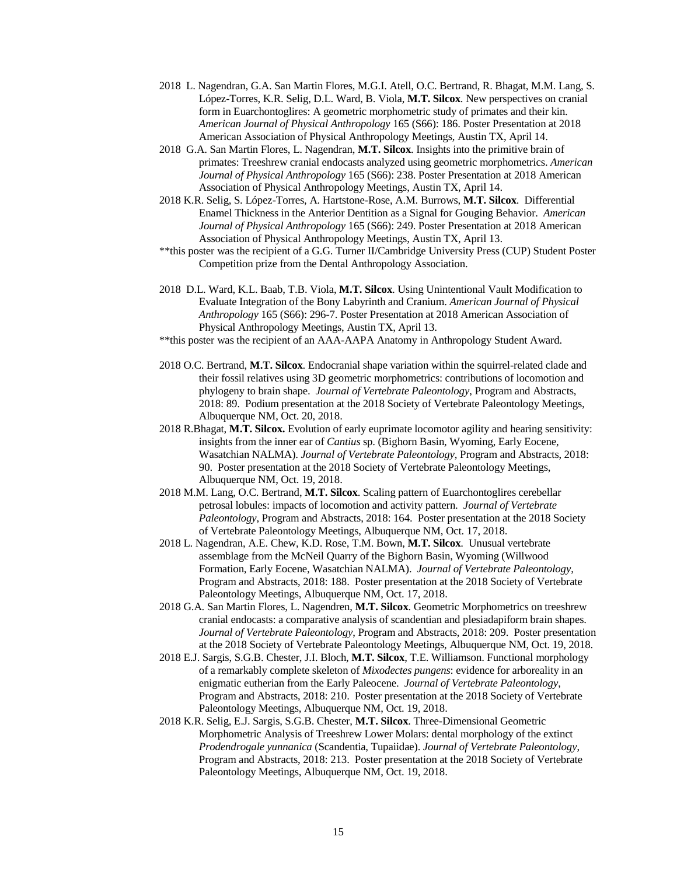- 2018 L. Nagendran, G.A. San Martin Flores, M.G.I. Atell, O.C. Bertrand, R. Bhagat, M.M. Lang, S. López-Torres, K.R. Selig, D.L. Ward, B. Viola, **M.T. Silcox**. New perspectives on cranial form in Euarchontoglires: A geometric morphometric study of primates and their kin. *American Journal of Physical Anthropology* 165 (S66): 186. Poster Presentation at 2018 American Association of Physical Anthropology Meetings, Austin TX, April 14.
- 2018 G.A. San Martin Flores, L. Nagendran, **M.T. Silcox**. Insights into the primitive brain of primates: Treeshrew cranial endocasts analyzed using geometric morphometrics. *American Journal of Physical Anthropology* 165 (S66): 238. Poster Presentation at 2018 American Association of Physical Anthropology Meetings, Austin TX, April 14.
- 2018 K.R. Selig, S. López-Torres, A. Hartstone-Rose, A.M. Burrows, **M.T. Silcox**. Differential Enamel Thickness in the Anterior Dentition as a Signal for Gouging Behavior. *American Journal of Physical Anthropology* 165 (S66): 249. Poster Presentation at 2018 American Association of Physical Anthropology Meetings, Austin TX, April 13.
- \*\*this poster was the recipient of a G.G. Turner II/Cambridge University Press (CUP) Student Poster Competition prize from the Dental Anthropology Association.
- 2018 D.L. Ward, K.L. Baab, T.B. Viola, **M.T. Silcox**. Using Unintentional Vault Modification to Evaluate Integration of the Bony Labyrinth and Cranium. *American Journal of Physical Anthropology* 165 (S66): 296-7. Poster Presentation at 2018 American Association of Physical Anthropology Meetings, Austin TX, April 13.
- \*\*this poster was the recipient of an AAA-AAPA Anatomy in Anthropology Student Award.
- 2018 O.C. Bertrand, **M.T. Silcox**. Endocranial shape variation within the squirrel-related clade and their fossil relatives using 3D geometric morphometrics: contributions of locomotion and phylogeny to brain shape. *Journal of Vertebrate Paleontology*, Program and Abstracts, 2018: 89. Podium presentation at the 2018 Society of Vertebrate Paleontology Meetings, Albuquerque NM, Oct. 20, 2018.
- 2018 R.Bhagat, **M.T. Silcox.** Evolution of early euprimate locomotor agility and hearing sensitivity: insights from the inner ear of *Cantius* sp. (Bighorn Basin, Wyoming, Early Eocene, Wasatchian NALMA). *Journal of Vertebrate Paleontology*, Program and Abstracts, 2018: 90. Poster presentation at the 2018 Society of Vertebrate Paleontology Meetings, Albuquerque NM, Oct. 19, 2018.
- 2018 M.M. Lang, O.C. Bertrand, **M.T. Silcox**. Scaling pattern of Euarchontoglires cerebellar petrosal lobules: impacts of locomotion and activity pattern. *Journal of Vertebrate Paleontology*, Program and Abstracts, 2018: 164. Poster presentation at the 2018 Society of Vertebrate Paleontology Meetings, Albuquerque NM, Oct. 17, 2018.
- 2018 L. Nagendran, A.E. Chew, K.D. Rose, T.M. Bown, **M.T. Silcox**. Unusual vertebrate assemblage from the McNeil Quarry of the Bighorn Basin, Wyoming (Willwood Formation, Early Eocene, Wasatchian NALMA). *Journal of Vertebrate Paleontology*, Program and Abstracts, 2018: 188. Poster presentation at the 2018 Society of Vertebrate Paleontology Meetings, Albuquerque NM, Oct. 17, 2018.
- 2018 G.A. San Martin Flores, L. Nagendren, **M.T. Silcox**. Geometric Morphometrics on treeshrew cranial endocasts: a comparative analysis of scandentian and plesiadapiform brain shapes. *Journal of Vertebrate Paleontology*, Program and Abstracts, 2018: 209. Poster presentation at the 2018 Society of Vertebrate Paleontology Meetings, Albuquerque NM, Oct. 19, 2018.
- 2018 E.J. Sargis, S.G.B. Chester, J.I. Bloch, **M.T. Silcox**, T.E. Williamson. Functional morphology of a remarkably complete skeleton of *Mixodectes pungens*: evidence for arboreality in an enigmatic eutherian from the Early Paleocene. *Journal of Vertebrate Paleontology*, Program and Abstracts, 2018: 210. Poster presentation at the 2018 Society of Vertebrate Paleontology Meetings, Albuquerque NM, Oct. 19, 2018.
- 2018 K.R. Selig, E.J. Sargis, S.G.B. Chester, **M.T. Silcox**. Three-Dimensional Geometric Morphometric Analysis of Treeshrew Lower Molars: dental morphology of the extinct *Prodendrogale yunnanica* (Scandentia, Tupaiidae). *Journal of Vertebrate Paleontology*, Program and Abstracts, 2018: 213. Poster presentation at the 2018 Society of Vertebrate Paleontology Meetings, Albuquerque NM, Oct. 19, 2018.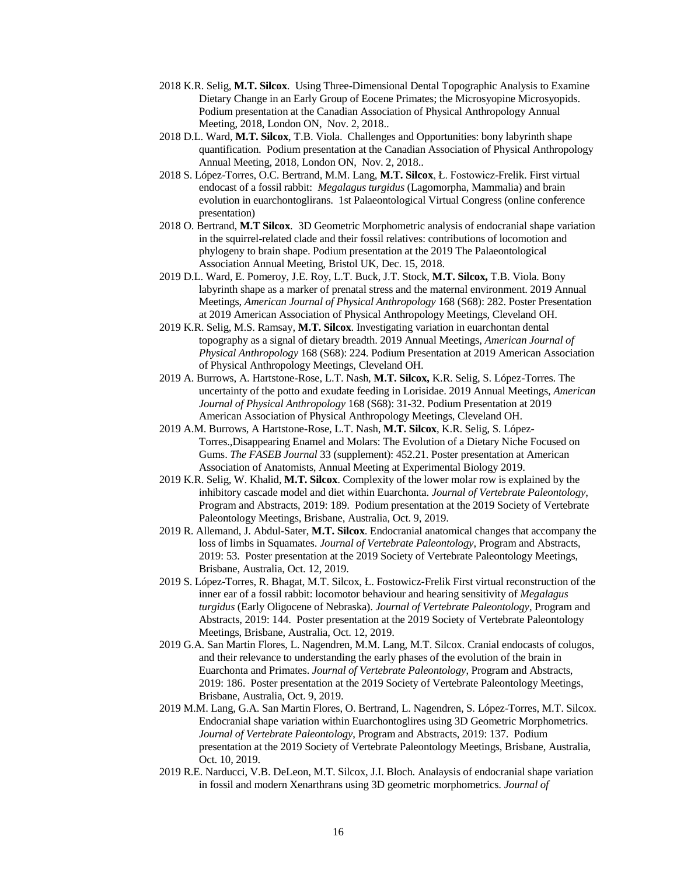- 2018 K.R. Selig, **M.T. Silcox**. Using Three-Dimensional Dental Topographic Analysis to Examine Dietary Change in an Early Group of Eocene Primates; the Microsyopine Microsyopids. Podium presentation at the Canadian Association of Physical Anthropology Annual Meeting, 2018, London ON, Nov. 2, 2018..
- 2018 D.L. Ward, **M.T. Silcox**, T.B. Viola. Challenges and Opportunities: bony labyrinth shape quantification. Podium presentation at the Canadian Association of Physical Anthropology Annual Meeting, 2018, London ON, Nov. 2, 2018..
- 2018 S. López-Torres, O.C. Bertrand, M.M. Lang, **M.T. Silcox**, Ł. Fostowicz-Frelik. First virtual endocast of a fossil rabbit: *Megalagus turgidus* (Lagomorpha, Mammalia) and brain evolution in euarchontoglirans. 1st Palaeontological Virtual Congress (online conference presentation)
- 2018 O. Bertrand, **M.T Silcox**. 3D Geometric Morphometric analysis of endocranial shape variation in the squirrel-related clade and their fossil relatives: contributions of locomotion and phylogeny to brain shape. Podium presentation at the 2019 The Palaeontological Association Annual Meeting, Bristol UK, Dec. 15, 2018.
- 2019 D.L. Ward, E. Pomeroy, J.E. Roy, L.T. Buck, J.T. Stock, **M.T. Silcox,** T.B. Viola. Bony labyrinth shape as a marker of prenatal stress and the maternal environment. 2019 Annual Meetings, *American Journal of Physical Anthropology* 168 (S68): 282. Poster Presentation at 2019 American Association of Physical Anthropology Meetings, Cleveland OH.
- 2019 K.R. Selig, M.S. Ramsay, **M.T. Silcox**. Investigating variation in euarchontan dental topography as a signal of dietary breadth. 2019 Annual Meetings, *American Journal of Physical Anthropology* 168 (S68): 224. Podium Presentation at 2019 American Association of Physical Anthropology Meetings, Cleveland OH.
- 2019 A. Burrows, A. Hartstone-Rose, L.T. Nash, **M.T. Silcox,** K.R. Selig, S. López-Torres. The uncertainty of the potto and exudate feeding in Lorisidae. 2019 Annual Meetings, *American Journal of Physical Anthropology* 168 (S68): 31-32. Podium Presentation at 2019 American Association of Physical Anthropology Meetings, Cleveland OH.
- 2019 A.M. Burrows, A Hartstone-Rose, L.T. Nash, **M.T. Silcox**, K.R. Selig, S. López-Torres.,Disappearing Enamel and Molars: The Evolution of a Dietary Niche Focused on Gums. *The FASEB Journal* 33 (supplement): 452.21. Poster presentation at American Association of Anatomists, Annual Meeting at Experimental Biology 2019.
- 2019 K.R. Selig, W. Khalid, **M.T. Silcox**. Complexity of the lower molar row is explained by the inhibitory cascade model and diet within Euarchonta. *Journal of Vertebrate Paleontology*, Program and Abstracts, 2019: 189. Podium presentation at the 2019 Society of Vertebrate Paleontology Meetings, Brisbane, Australia, Oct. 9, 2019.
- 2019 R. Allemand, J. Abdul-Sater, **M.T. Silcox**. Endocranial anatomical changes that accompany the loss of limbs in Squamates. *Journal of Vertebrate Paleontology*, Program and Abstracts, 2019: 53. Poster presentation at the 2019 Society of Vertebrate Paleontology Meetings, Brisbane, Australia, Oct. 12, 2019.
- 2019 S. López-Torres, R. Bhagat, M.T. Silcox, Ł. Fostowicz-Frelik First virtual reconstruction of the inner ear of a fossil rabbit: locomotor behaviour and hearing sensitivity of *Megalagus turgidus* (Early Oligocene of Nebraska). *Journal of Vertebrate Paleontology*, Program and Abstracts, 2019: 144. Poster presentation at the 2019 Society of Vertebrate Paleontology Meetings, Brisbane, Australia, Oct. 12, 2019.
- 2019 G.A. San Martin Flores, L. Nagendren, M.M. Lang, M.T. Silcox. Cranial endocasts of colugos, and their relevance to understanding the early phases of the evolution of the brain in Euarchonta and Primates. *Journal of Vertebrate Paleontology*, Program and Abstracts, 2019: 186. Poster presentation at the 2019 Society of Vertebrate Paleontology Meetings, Brisbane, Australia, Oct. 9, 2019.
- 2019 M.M. Lang, G.A. San Martin Flores, O. Bertrand, L. Nagendren, S. López-Torres, M.T. Silcox. Endocranial shape variation within Euarchontoglires using 3D Geometric Morphometrics. *Journal of Vertebrate Paleontology*, Program and Abstracts, 2019: 137. Podium presentation at the 2019 Society of Vertebrate Paleontology Meetings, Brisbane, Australia, Oct. 10, 2019.
- 2019 R.E. Narducci, V.B. DeLeon, M.T. Silcox, J.I. Bloch. Analaysis of endocranial shape variation in fossil and modern Xenarthrans using 3D geometric morphometrics. *Journal of*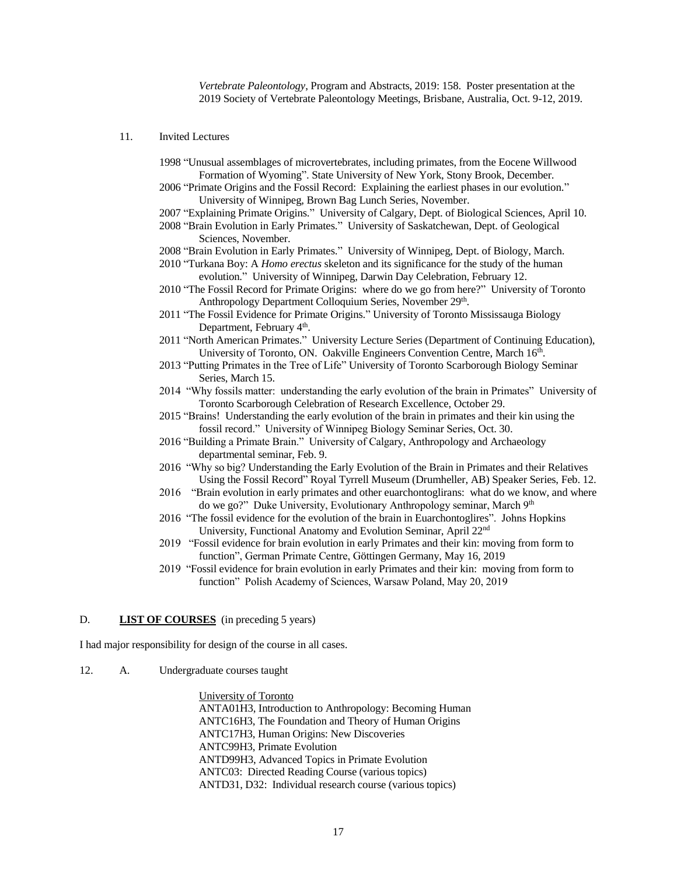*Vertebrate Paleontology*, Program and Abstracts, 2019: 158. Poster presentation at the 2019 Society of Vertebrate Paleontology Meetings, Brisbane, Australia, Oct. 9-12, 2019.

- 11. Invited Lectures
	- 1998 "Unusual assemblages of microvertebrates, including primates, from the Eocene Willwood Formation of Wyoming". State University of New York, Stony Brook, December.
	- 2006 "Primate Origins and the Fossil Record: Explaining the earliest phases in our evolution." University of Winnipeg, Brown Bag Lunch Series, November.
	- 2007 "Explaining Primate Origins." University of Calgary, Dept. of Biological Sciences, April 10.
	- 2008 "Brain Evolution in Early Primates." University of Saskatchewan, Dept. of Geological Sciences, November.

2008 "Brain Evolution in Early Primates." University of Winnipeg, Dept. of Biology, March.

- 2010 "Turkana Boy: A *Homo erectus* skeleton and its significance for the study of the human evolution." University of Winnipeg, Darwin Day Celebration, February 12.
- 2010 "The Fossil Record for Primate Origins: where do we go from here?" University of Toronto Anthropology Department Colloquium Series, November 29<sup>th</sup>.
- 2011 "The Fossil Evidence for Primate Origins." University of Toronto Mississauga Biology Department, February 4<sup>th</sup>.
- 2011 "North American Primates." University Lecture Series (Department of Continuing Education), University of Toronto, ON. Oakville Engineers Convention Centre, March 16th.
- 2013 "Putting Primates in the Tree of Life" University of Toronto Scarborough Biology Seminar Series, March 15.
- 2014 "Why fossils matter: understanding the early evolution of the brain in Primates" University of Toronto Scarborough Celebration of Research Excellence, October 29.
- 2015 "Brains! Understanding the early evolution of the brain in primates and their kin using the fossil record." University of Winnipeg Biology Seminar Series, Oct. 30.
- 2016 "Building a Primate Brain." University of Calgary, Anthropology and Archaeology departmental seminar, Feb. 9.
- 2016 "Why so big? Understanding the Early Evolution of the Brain in Primates and their Relatives Using the Fossil Record" Royal Tyrrell Museum (Drumheller, AB) Speaker Series, Feb. 12.
- 2016 "Brain evolution in early primates and other euarchontoglirans: what do we know, and where do we go?" Duke University, Evolutionary Anthropology seminar, March 9th
- 2016 "The fossil evidence for the evolution of the brain in Euarchontoglires". Johns Hopkins University, Functional Anatomy and Evolution Seminar, April 22nd
- 2019 "Fossil evidence for brain evolution in early Primates and their kin: moving from form to function", German Primate Centre, Göttingen Germany, May 16, 2019
- 2019 "Fossil evidence for brain evolution in early Primates and their kin: moving from form to function" Polish Academy of Sciences, Warsaw Poland, May 20, 2019

#### D. **LIST OF COURSES** (in preceding 5 years)

I had major responsibility for design of the course in all cases.

12. A. Undergraduate courses taught

University of Toronto ANTA01H3, Introduction to Anthropology: Becoming Human ANTC16H3, The Foundation and Theory of Human Origins ANTC17H3, Human Origins: New Discoveries ANTC99H3, Primate Evolution ANTD99H3, Advanced Topics in Primate Evolution ANTC03: Directed Reading Course (various topics) ANTD31, D32: Individual research course (various topics)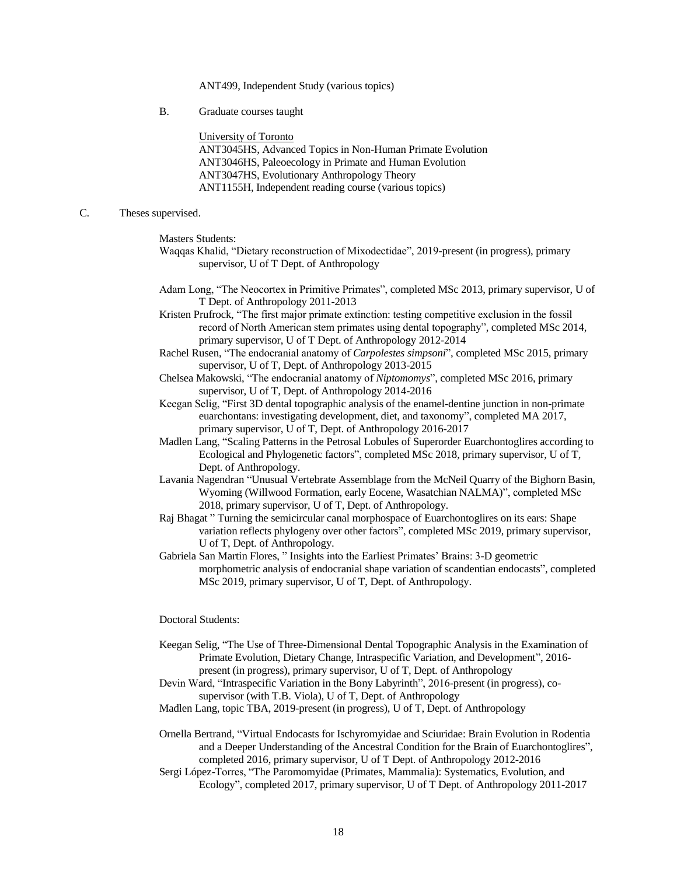ANT499, Independent Study (various topics)

B. Graduate courses taught

University of Toronto

ANT3045HS, Advanced Topics in Non-Human Primate Evolution ANT3046HS, Paleoecology in Primate and Human Evolution ANT3047HS, Evolutionary Anthropology Theory ANT1155H, Independent reading course (various topics)

#### C. Theses supervised.

Masters Students:

- Waqqas Khalid, "Dietary reconstruction of Mixodectidae", 2019-present (in progress), primary supervisor, U of T Dept. of Anthropology
- Adam Long, "The Neocortex in Primitive Primates", completed MSc 2013, primary supervisor, U of T Dept. of Anthropology 2011-2013
- Kristen Prufrock, "The first major primate extinction: testing competitive exclusion in the fossil record of North American stem primates using dental topography", completed MSc 2014, primary supervisor, U of T Dept. of Anthropology 2012-2014
- Rachel Rusen, "The endocranial anatomy of *Carpolestes simpsoni*", completed MSc 2015, primary supervisor, U of T, Dept. of Anthropology 2013-2015
- Chelsea Makowski, "The endocranial anatomy of *Niptomomys*", completed MSc 2016, primary supervisor, U of T, Dept. of Anthropology 2014-2016
- Keegan Selig, "First 3D dental topographic analysis of the enamel-dentine junction in non-primate euarchontans: investigating development, diet, and taxonomy", completed MA 2017, primary supervisor, U of T, Dept. of Anthropology 2016-2017
- Madlen Lang, "Scaling Patterns in the Petrosal Lobules of Superorder Euarchontoglires according to Ecological and Phylogenetic factors", completed MSc 2018, primary supervisor, U of T, Dept. of Anthropology.
- Lavania Nagendran "Unusual Vertebrate Assemblage from the McNeil Quarry of the Bighorn Basin, Wyoming (Willwood Formation, early Eocene, Wasatchian NALMA)", completed MSc 2018, primary supervisor, U of T, Dept. of Anthropology.
- Raj Bhagat " Turning the semicircular canal morphospace of Euarchontoglires on its ears: Shape variation reflects phylogeny over other factors", completed MSc 2019, primary supervisor, U of T, Dept. of Anthropology.
- Gabriela San Martin Flores, " Insights into the Earliest Primates' Brains: 3-D geometric morphometric analysis of endocranial shape variation of scandentian endocasts", completed MSc 2019, primary supervisor, U of T, Dept. of Anthropology.

#### Doctoral Students:

- Keegan Selig, "The Use of Three-Dimensional Dental Topographic Analysis in the Examination of Primate Evolution, Dietary Change, Intraspecific Variation, and Development", 2016 present (in progress), primary supervisor, U of T, Dept. of Anthropology
- Devin Ward, "Intraspecific Variation in the Bony Labyrinth", 2016-present (in progress), cosupervisor (with T.B. Viola), U of T, Dept. of Anthropology
- Madlen Lang, topic TBA, 2019-present (in progress), U of T, Dept. of Anthropology
- Ornella Bertrand, "Virtual Endocasts for Ischyromyidae and Sciuridae: Brain Evolution in Rodentia and a Deeper Understanding of the Ancestral Condition for the Brain of Euarchontoglires", completed 2016, primary supervisor, U of T Dept. of Anthropology 2012-2016
- Sergi López-Torres, "The Paromomyidae (Primates, Mammalia): Systematics, Evolution, and Ecology", completed 2017, primary supervisor, U of T Dept. of Anthropology 2011-2017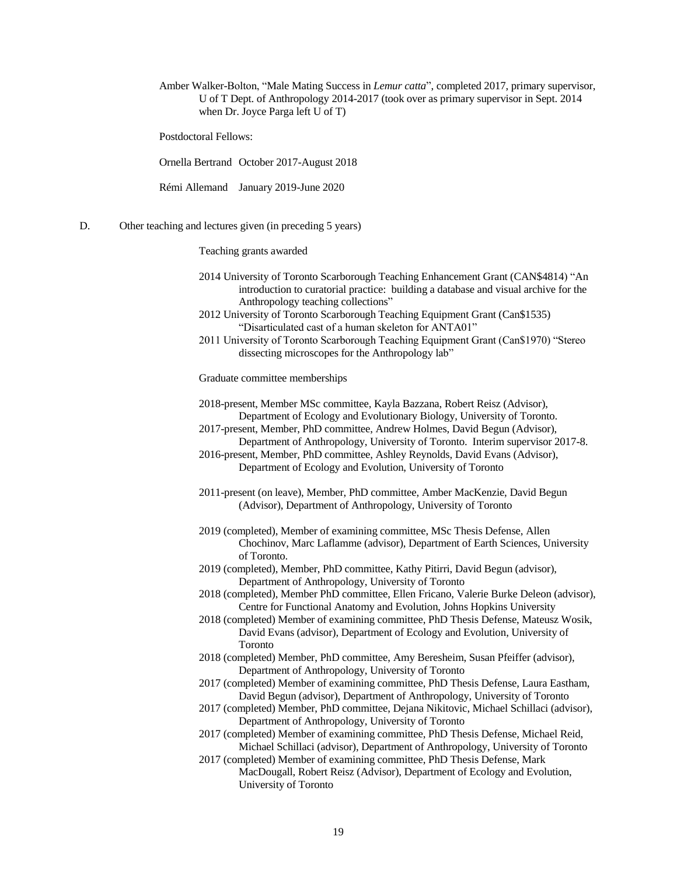Amber Walker-Bolton, "Male Mating Success in *Lemur catta*", completed 2017, primary supervisor, U of T Dept. of Anthropology 2014-2017 (took over as primary supervisor in Sept. 2014 when Dr. Joyce Parga left U of T)

Postdoctoral Fellows:

Ornella Bertrand October 2017-August 2018

Rémi Allemand January 2019-June 2020

#### D. Other teaching and lectures given (in preceding 5 years)

Teaching grants awarded

- 2014 University of Toronto Scarborough Teaching Enhancement Grant (CAN\$4814) "An introduction to curatorial practice: building a database and visual archive for the Anthropology teaching collections"
- 2012 University of Toronto Scarborough Teaching Equipment Grant (Can\$1535) "Disarticulated cast of a human skeleton for ANTA01"
- 2011 University of Toronto Scarborough Teaching Equipment Grant (Can\$1970) "Stereo dissecting microscopes for the Anthropology lab"

Graduate committee memberships

2018-present, Member MSc committee, Kayla Bazzana, Robert Reisz (Advisor), Department of Ecology and Evolutionary Biology, University of Toronto.

- 2017-present, Member, PhD committee, Andrew Holmes, David Begun (Advisor), Department of Anthropology, University of Toronto. Interim supervisor 2017-8.
- 2016-present, Member, PhD committee, Ashley Reynolds, David Evans (Advisor), Department of Ecology and Evolution, University of Toronto
- 2011-present (on leave), Member, PhD committee, Amber MacKenzie, David Begun (Advisor), Department of Anthropology, University of Toronto
- 2019 (completed), Member of examining committee, MSc Thesis Defense, Allen Chochinov, Marc Laflamme (advisor), Department of Earth Sciences, University of Toronto.
- 2019 (completed), Member, PhD committee, Kathy Pitirri, David Begun (advisor), Department of Anthropology, University of Toronto
- 2018 (completed), Member PhD committee, Ellen Fricano, Valerie Burke Deleon (advisor), Centre for Functional Anatomy and Evolution, Johns Hopkins University
- 2018 (completed) Member of examining committee, PhD Thesis Defense, Mateusz Wosik, David Evans (advisor), Department of Ecology and Evolution, University of Toronto
- 2018 (completed) Member, PhD committee, Amy Beresheim, Susan Pfeiffer (advisor), Department of Anthropology, University of Toronto
- 2017 (completed) Member of examining committee, PhD Thesis Defense, Laura Eastham, David Begun (advisor), Department of Anthropology, University of Toronto
- 2017 (completed) Member, PhD committee, Dejana Nikitovic, Michael Schillaci (advisor), Department of Anthropology, University of Toronto
- 2017 (completed) Member of examining committee, PhD Thesis Defense, Michael Reid, Michael Schillaci (advisor), Department of Anthropology, University of Toronto
- 2017 (completed) Member of examining committee, PhD Thesis Defense, Mark MacDougall, Robert Reisz (Advisor), Department of Ecology and Evolution, University of Toronto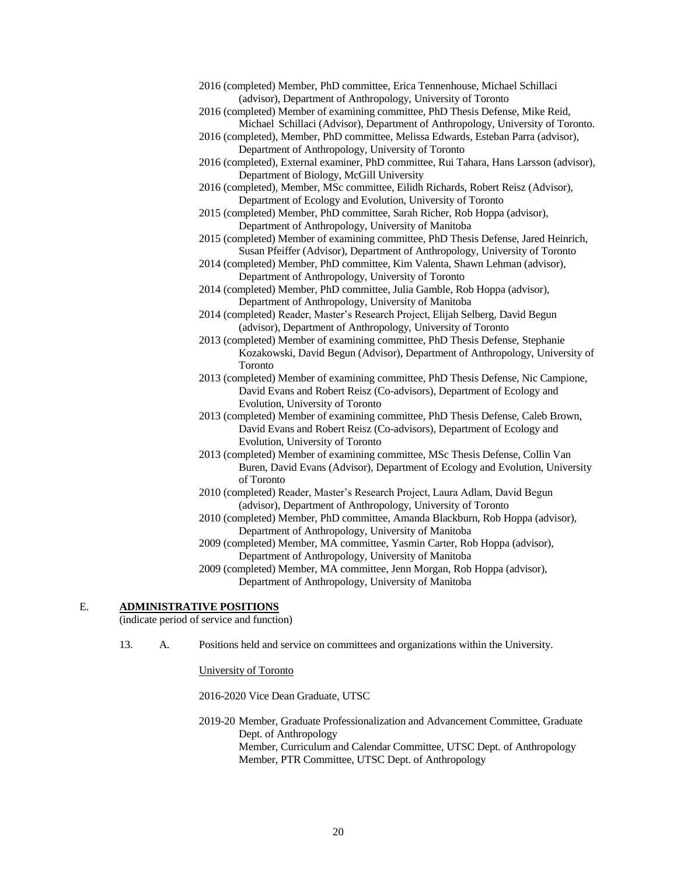| 2016 (completed) Member, PhD committee, Erica Tennenhouse, Michael Schillaci            |  |
|-----------------------------------------------------------------------------------------|--|
| (advisor), Department of Anthropology, University of Toronto                            |  |
| 2016 (completed) Member of examining committee, PhD Thesis Defense, Mike Reid,          |  |
| Michael Schillaci (Advisor), Department of Anthropology, University of Toronto.         |  |
| 2016 (completed), Member, PhD committee, Melissa Edwards, Esteban Parra (advisor),      |  |
| Department of Anthropology, University of Toronto                                       |  |
| 2016 (completed), External examiner, PhD committee, Rui Tahara, Hans Larsson (advisor), |  |
| Department of Biology, McGill University                                                |  |
| 2016 (completed), Member, MSc committee, Eilidh Richards, Robert Reisz (Advisor),       |  |
| Department of Ecology and Evolution, University of Toronto                              |  |
| 2015 (completed) Member, PhD committee, Sarah Richer, Rob Hoppa (advisor),              |  |
| Department of Anthropology, University of Manitoba                                      |  |
| 2015 (completed) Member of examining committee, PhD Thesis Defense, Jared Heinrich,     |  |
| Susan Pfeiffer (Advisor), Department of Anthropology, University of Toronto             |  |
| 2014 (completed) Member, PhD committee, Kim Valenta, Shawn Lehman (advisor),            |  |
| Department of Anthropology, University of Toronto                                       |  |
| 2014 (completed) Member, PhD committee, Julia Gamble, Rob Hoppa (advisor),              |  |
| Department of Anthropology, University of Manitoba                                      |  |
| 2014 (completed) Reader, Master's Research Project, Elijah Selberg, David Begun         |  |
| (advisor), Department of Anthropology, University of Toronto                            |  |
| 2013 (completed) Member of examining committee, PhD Thesis Defense, Stephanie           |  |
| Kozakowski, David Begun (Advisor), Department of Anthropology, University of            |  |
| Toronto                                                                                 |  |
| 2013 (completed) Member of examining committee, PhD Thesis Defense, Nic Campione,       |  |
| David Evans and Robert Reisz (Co-advisors), Department of Ecology and                   |  |
| Evolution, University of Toronto                                                        |  |
| 2013 (completed) Member of examining committee, PhD Thesis Defense, Caleb Brown,        |  |
| David Evans and Robert Reisz (Co-advisors), Department of Ecology and                   |  |
| Evolution, University of Toronto                                                        |  |
| 2013 (completed) Member of examining committee, MSc Thesis Defense, Collin Van          |  |
| Buren, David Evans (Advisor), Department of Ecology and Evolution, University           |  |
| of Toronto                                                                              |  |
| 2010 (completed) Reader, Master's Research Project, Laura Adlam, David Begun            |  |
| (advisor), Department of Anthropology, University of Toronto                            |  |

2010 (completed) Member, PhD committee, Amanda Blackburn, Rob Hoppa (advisor), Department of Anthropology, University of Manitoba

2009 (completed) Member, MA committee, Yasmin Carter, Rob Hoppa (advisor), Department of Anthropology, University of Manitoba

2009 (completed) Member, MA committee, Jenn Morgan, Rob Hoppa (advisor), Department of Anthropology, University of Manitoba

### E. **ADMINISTRATIVE POSITIONS**

(indicate period of service and function)

13. A. Positions held and service on committees and organizations within the University.

University of Toronto

2016-2020 Vice Dean Graduate, UTSC

2019-20 Member, Graduate Professionalization and Advancement Committee, Graduate Dept. of Anthropology Member, Curriculum and Calendar Committee, UTSC Dept. of Anthropology Member, PTR Committee, UTSC Dept. of Anthropology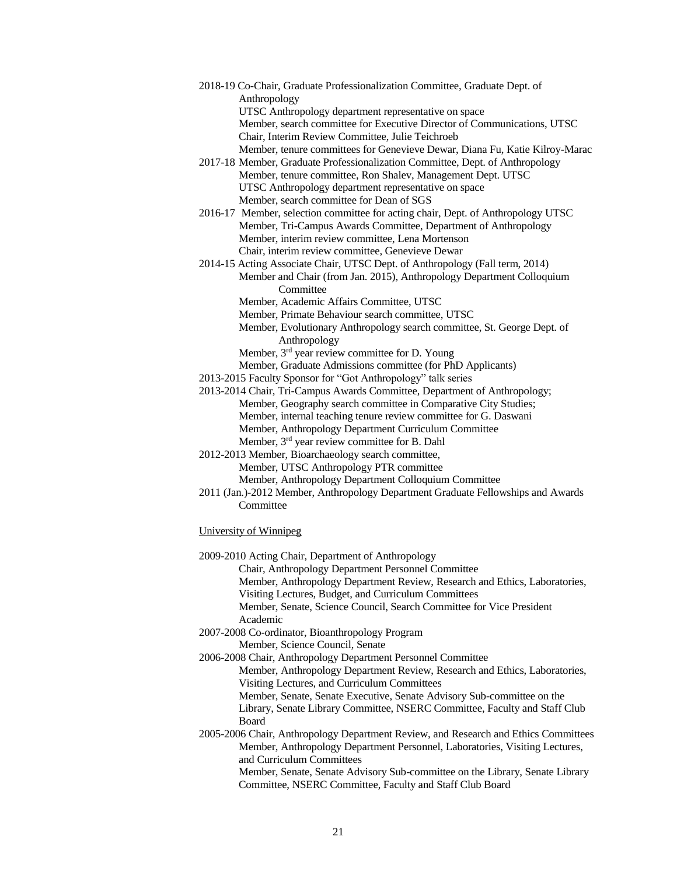- 2018-19 Co-Chair, Graduate Professionalization Committee, Graduate Dept. of Anthropology UTSC Anthropology department representative on space Member, search committee for Executive Director of Communications, UTSC Chair, Interim Review Committee, Julie Teichroeb Member, tenure committees for Genevieve Dewar, Diana Fu, Katie Kilroy-Marac 2017-18 Member, Graduate Professionalization Committee, Dept. of Anthropology Member, tenure committee, Ron Shalev, Management Dept. UTSC
	- UTSC Anthropology department representative on space Member, search committee for Dean of SGS
- 2016-17 Member, selection committee for acting chair, Dept. of Anthropology UTSC Member, Tri-Campus Awards Committee, Department of Anthropology Member, interim review committee, Lena Mortenson Chair, interim review committee, Genevieve Dewar
- 2014-15 Acting Associate Chair, UTSC Dept. of Anthropology (Fall term, 2014) Member and Chair (from Jan. 2015), Anthropology Department Colloquium Committee
	- Member, Academic Affairs Committee, UTSC
	- Member, Primate Behaviour search committee, UTSC
	- Member, Evolutionary Anthropology search committee, St. George Dept. of Anthropology
	- Member, 3<sup>rd</sup> year review committee for D. Young
	- Member, Graduate Admissions committee (for PhD Applicants)
- 2013-2015 Faculty Sponsor for "Got Anthropology" talk series
- 2013-2014 Chair, Tri-Campus Awards Committee, Department of Anthropology; Member, Geography search committee in Comparative City Studies; Member, internal teaching tenure review committee for G. Daswani Member, Anthropology Department Curriculum Committee
	- Member, 3rd year review committee for B. Dahl
- 2012-2013 Member, Bioarchaeology search committee, Member, UTSC Anthropology PTR committee Member, Anthropology Department Colloquium Committee
- 2011 (Jan.)-2012 Member, Anthropology Department Graduate Fellowships and Awards **Committee**
- University of Winnipeg
- 2009-2010 Acting Chair, Department of Anthropology
	- Chair, Anthropology Department Personnel Committee
	- Member, Anthropology Department Review, Research and Ethics, Laboratories, Visiting Lectures, Budget, and Curriculum Committees
	- Member, Senate, Science Council, Search Committee for Vice President Academic
- 2007-2008 Co-ordinator, Bioanthropology Program

Member, Science Council, Senate

- 2006-2008 Chair, Anthropology Department Personnel Committee
	- Member, Anthropology Department Review, Research and Ethics, Laboratories, Visiting Lectures, and Curriculum Committees
	- Member, Senate, Senate Executive, Senate Advisory Sub-committee on the Library, Senate Library Committee, NSERC Committee, Faculty and Staff Club Board
- 2005-2006 Chair, Anthropology Department Review, and Research and Ethics Committees Member, Anthropology Department Personnel, Laboratories, Visiting Lectures, and Curriculum Committees Member, Senate, Senate Advisory Sub-committee on the Library, Senate Library Committee, NSERC Committee, Faculty and Staff Club Board